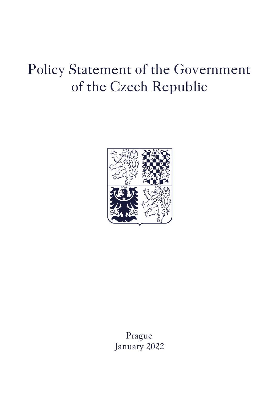# Policy Statement of the Government of the Czech Republic



Prague January 2022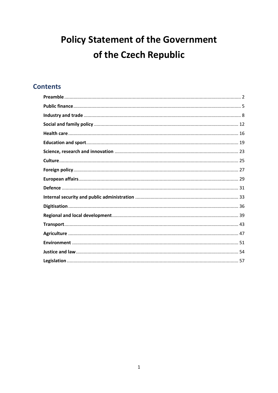## **Policy Statement of the Government** of the Czech Republic

### **Contents**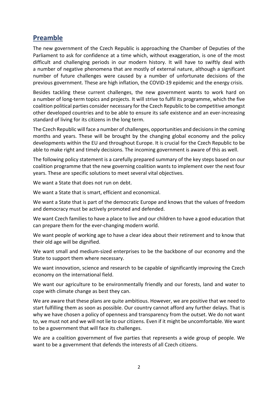### <span id="page-2-0"></span>**Preamble**

The new government of the Czech Republic is approaching the Chamber of Deputies of the Parliament to ask for confidence at a time which, without exaggeration, is one of the most difficult and challenging periods in our modern history. It will have to swiftly deal with a number of negative phenomena that are mostly of external nature, although a significant number of future challenges were caused by a number of unfortunate decisions of the previous government. These are high inflation, the COVID-19 epidemic and the energy crisis.

Besides tackling these current challenges, the new government wants to work hard on a number of long-term topics and projects. It will strive to fulfil its programme, which the five coalition political parties consider necessary for the Czech Republic to be competitive amongst other developed countries and to be able to ensure its safe existence and an ever-increasing standard of living for its citizens in the long term.

The Czech Republic will face a number of challenges, opportunities and decisionsin the coming months and years. These will be brought by the changing global economy and the policy developments within the EU and throughout Europe. It is crucial for the Czech Republic to be able to make right and timely decisions. The incoming government is aware of this as well.

The following policy statement is a carefully prepared summary of the key steps based on our coalition programme that the new governing coalition wants to implement over the next four years. These are specific solutions to meet several vital objectives.

We want a State that does not run on debt.

We want a State that is smart, efficient and economical.

We want a State that is part of the democratic Europe and knows that the values of freedom and democracy must be actively promoted and defended.

We want Czech families to have a place to live and our children to have a good education that can prepare them for the ever-changing modern world.

We want people of working age to have a clear idea about their retirement and to know that their old age will be dignified.

We want small and medium-sized enterprises to be the backbone of our economy and the State to support them where necessary.

We want innovation, science and research to be capable of significantly improving the Czech economy on the international field.

We want our agriculture to be environmentally friendly and our forests, land and water to cope with climate change as best they can.

We are aware that these plans are quite ambitious. However, we are positive that we need to start fulfilling them as soon as possible. Our country cannot afford any further delays. That is why we have chosen a policy of openness and transparency from the outset. We do not want to, we must not and we will not lie to our citizens. Even if it might be uncomfortable. We want to be a government that will face its challenges.

We are a coalition government of five parties that represents a wide group of people. We want to be a government that defends the interests of all Czech citizens.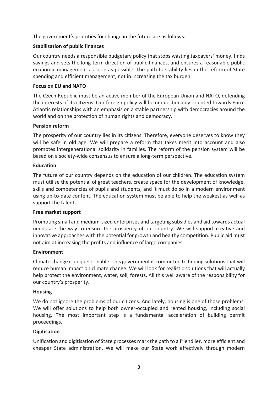The government's priorities for change in the future are as follows:

### **Stabilisation of public finances**

Our country needs a responsible budgetary policy that stops wasting taxpayers' money, finds savings and sets the long-term direction of public finances, and ensures a reasonable public economic management as soon as possible. The path to stability lies in the reform of State spending and efficient management, not in increasing the tax burden.

### **Focus on EU and NATO**

The Czech Republic must be an active member of the European Union and NATO, defending the interests of its citizens. Our foreign policy will be unquestionably oriented towards Euro-Atlantic relationships with an emphasis on a stable partnership with democracies around the world and on the protection of human rights and democracy.

### **Pension reform**

The prosperity of our country lies in its citizens. Therefore, everyone deserves to know they will be safe in old age. We will prepare a reform that takes merit into account and also promotes intergenerational solidarity in families. The reform of the pension system will be based on a society-wide consensus to ensure a long-term perspective.

### **Education**

The future of our country depends on the education of our children. The education system must utilise the potential of great teachers, create space for the development of knowledge, skills and competencies of pupils and students, and it must do so in a modern environment using up-to-date content. The education system must be able to help the weakest as well as support the talent.

### **Free market support**

Promoting small and medium-sized enterprises and targeting subsidies and aid towards actual needs are the way to ensure the prosperity of our country. We will support creative and innovative approaches with the potential for growth and healthy competition. Public aid must not aim at increasing the profits and influence of large companies.

### **Environment**

Climate change is unquestionable. This government is committed to finding solutions that will reduce human impact on climate change. We will look for realistic solutions that will actually help protect the environment, water, soil, forests. All this well aware of the responsibility for our country's prosperity.

### **Housing**

We do not ignore the problems of our citizens. And lately, housing is one of those problems. We will offer solutions to help both owner-occupied and rented housing, including social housing. The most important step is a fundamental acceleration of building permit proceedings.

### **Digitisation**

Unification and digitisation of State processes mark the path to a friendlier, more efficient and cheaper State administration. We will make our State work effectively through modern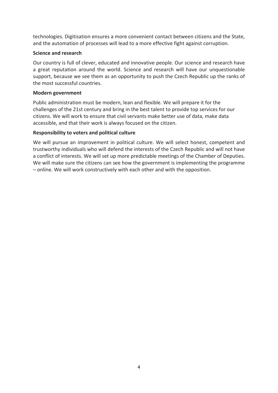technologies. Digitisation ensures a more convenient contact between citizens and the State, and the automation of processes will lead to a more effective fight against corruption.

### **Science and research**

Our country is full of clever, educated and innovative people. Our science and research have a great reputation around the world. Science and research will have our unquestionable support, because we see them as an opportunity to push the Czech Republic up the ranks of the most successful countries.

### **Modern government**

Public administration must be modern, lean and flexible. We will prepare it for the challenges of the 21st century and bring in the best talent to provide top services for our citizens. We will work to ensure that civil servants make better use of data, make data accessible, and that their work is always focused on the citizen.

### **Responsibility to voters and political culture**

We will pursue an improvement in political culture. We will select honest, competent and trustworthy individuals who will defend the interests of the Czech Republic and will not have a conflict of interests. We will set up more predictable meetings of the Chamber of Deputies. We will make sure the citizens can see how the government is implementing the programme – online. We will work constructively with each other and with the opposition.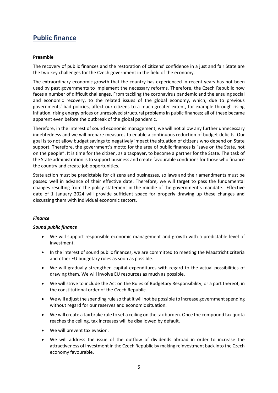### <span id="page-5-0"></span>**Public finance**

### **Preamble**

The recovery of public finances and the restoration of citizens' confidence in a just and fair State are the two key challenges for the Czech government in the field of the economy.

The extraordinary economic growth that the country has experienced in recent years has not been used by past governments to implement the necessary reforms. Therefore, the Czech Republic now faces a number of difficult challenges. From tackling the coronavirus pandemic and the ensuing social and economic recovery, to the related issues of the global economy, which, due to previous governments' bad policies, affect our citizens to a much greater extent, for example through rising inflation, rising energy prices or unresolved structural problems in public finances; all of these became apparent even before the outbreak of the global pandemic.

Therefore, in the interest of sound economic management, we will not allow any further unnecessary indebtedness and we will prepare measures to enable a continuous reduction of budget deficits. Our goal is to not allow budget savings to negatively impact the situation of citizens who depend on State support. Therefore, the government's motto for the area of public finances is "save on the State, not on the people". It is time for the citizen, as a taxpayer, to become a partner for the State. The task of the State administration is to support business and create favourable conditions for those who finance the country and create job opportunities.

State action must be predictable for citizens and businesses, so laws and their amendments must be passed well in advance of their effective date. Therefore, we will target to pass the fundamental changes resulting from the policy statement in the middle of the government's mandate. Effective date of 1 January 2024 will provide sufficient space for properly drawing up these changes and discussing them with individual economic sectors.

### *Finance*

### *Sound public finance*

- We will support responsible economic management and growth with a predictable level of investment.
- In the interest of sound public finances, we are committed to meeting the Maastricht criteria and other EU budgetary rules as soon as possible.
- We will gradually strengthen capital expenditures with regard to the actual possibilities of drawing them. We will involve EU resources as much as possible.
- We will strive to include the Act on the Rules of Budgetary Responsibility, or a part thereof, in the constitutional order of the Czech Republic.
- We will adjust the spending rule so that it will not be possible to increase government spending without regard for our reserves and economic situation.
- We will create a tax brake rule to set a ceiling on the tax burden. Once the compound tax quota reaches the ceiling, tax increases will be disallowed by default.
- We will prevent tax evasion.
- We will address the issue of the outflow of dividends abroad in order to increase the attractiveness of investment in the Czech Republic by making reinvestment back into the Czech economy favourable.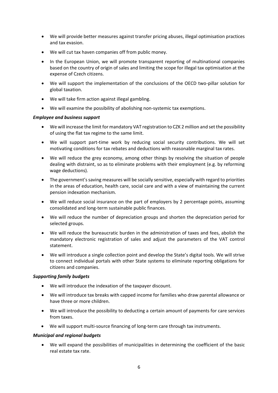- We will provide better measures against transfer pricing abuses, illegal optimisation practices and tax evasion.
- We will cut tax haven companies off from public money.
- In the European Union, we will promote transparent reporting of multinational companies based on the country of origin of sales and limiting the scope for illegal tax optimisation at the expense of Czech citizens.
- We will support the implementation of the conclusions of the OECD two-pillar solution for global taxation.
- We will take firm action against illegal gambling.
- We will examine the possibility of abolishing non-systemic tax exemptions.

### *Employee and business support*

- We will increase the limit for mandatory VAT registration to CZK 2 million and set the possibility of using the flat tax regime to the same limit.
- We will support part-time work by reducing social security contributions. We will set motivating conditions for tax rebates and deductions with reasonable marginal tax rates.
- We will reduce the grey economy, among other things by resolving the situation of people dealing with distraint, so as to eliminate problems with their employment (e.g. by reforming wage deductions).
- The government's saving measures will be socially sensitive, especially with regard to priorities in the areas of education, health care, social care and with a view of maintaining the current pension indexation mechanism.
- We will reduce social insurance on the part of employers by 2 percentage points, assuming consolidated and long-term sustainable public finances.
- We will reduce the number of depreciation groups and shorten the depreciation period for selected groups.
- We will reduce the bureaucratic burden in the administration of taxes and fees, abolish the mandatory electronic registration of sales and adjust the parameters of the VAT control statement.
- We will introduce a single collection point and develop the State's digital tools. We will strive to connect individual portals with other State systems to eliminate reporting obligations for citizens and companies.

### *Supporting family budgets*

- We will introduce the indexation of the taxpayer discount.
- We will introduce tax breaks with capped income for families who draw parental allowance or have three or more children.
- We will introduce the possibility to deducting a certain amount of payments for care services from taxes.
- We will support multi-source financing of long-term care through tax instruments.

### *Municipal and regional budgets*

 We will expand the possibilities of municipalities in determining the coefficient of the basic real estate tax rate.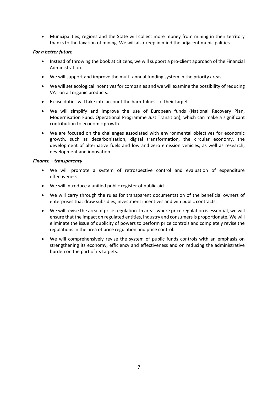Municipalities, regions and the State will collect more money from mining in their territory thanks to the taxation of mining. We will also keep in mind the adjacent municipalities.

### *For a better future*

- Instead of throwing the book at citizens, we will support a pro-client approach of the Financial Administration.
- We will support and improve the multi-annual funding system in the priority areas.
- We will set ecological incentives for companies and we will examine the possibility of reducing VAT on all organic products.
- Excise duties will take into account the harmfulness of their target.
- We will simplify and improve the use of European funds (National Recovery Plan, Modernisation Fund, Operational Programme Just Transition), which can make a significant contribution to economic growth.
- We are focused on the challenges associated with environmental objectives for economic growth, such as decarbonisation, digital transformation, the circular economy, the development of alternative fuels and low and zero emission vehicles, as well as research, development and innovation.

### *Finance – transparency*

- We will promote a system of retrospective control and evaluation of expenditure effectiveness.
- We will introduce a unified public register of public aid.
- We will carry through the rules for transparent documentation of the beneficial owners of enterprises that draw subsidies, investment incentives and win public contracts.
- We will revise the area of price regulation. In areas where price regulation is essential, we will ensure that the impact on regulated entities, industry and consumers is proportionate. We will eliminate the issue of duplicity of powers to perform price controls and completely revise the regulations in the area of price regulation and price control.
- We will comprehensively revise the system of public funds controls with an emphasis on strengthening its economy, efficiency and effectiveness and on reducing the administrative burden on the part of its targets.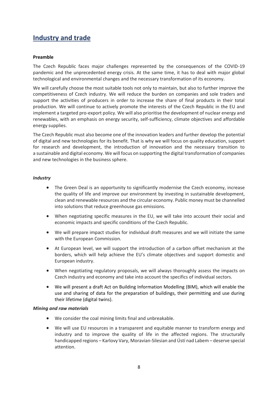### <span id="page-8-0"></span>**Industry and trade**

### **Preamble**

The Czech Republic faces major challenges represented by the consequences of the COVID-19 pandemic and the unprecedented energy crisis. At the same time, it has to deal with major global technological and environmental changes and the necessary transformation of its economy.

We will carefully choose the most suitable tools not only to maintain, but also to further improve the competitiveness of Czech industry. We will reduce the burden on companies and sole traders and support the activities of producers in order to increase the share of final products in their total production. We will continue to actively promote the interests of the Czech Republic in the EU and implement a targeted pro-export policy. We will also prioritise the development of nuclear energy and renewables, with an emphasis on energy security, self-sufficiency, climate objectives and affordable energy supplies.

The Czech Republic must also become one of the innovation leaders and further develop the potential of digital and new technologies for its benefit. That is why we will focus on quality education, support for research and development, the introduction of innovation and the necessary transition to a sustainable and digital economy. We will focus on supporting the digital transformation of companies and new technologies in the business sphere.

### *Industry*

- The Green Deal is an opportunity to significantly modernise the Czech economy, increase the quality of life and improve our environment by investing in sustainable development, clean and renewable resources and the circular economy. Public money must be channelled into solutions that reduce greenhouse gas emissions.
- When negotiating specific measures in the EU, we will take into account their social and economic impacts and specific conditions of the Czech Republic.
- We will prepare impact studies for individual draft measures and we will initiate the same with the European Commission.
- At European level, we will support the introduction of a carbon offset mechanism at the borders, which will help achieve the EU's climate objectives and support domestic and European industry.
- When negotiating regulatory proposals, we will always thoroughly assess the impacts on Czech industry and economy and take into account the specifics of individual sectors.
- We will present a draft Act on Building Information Modelling (BIM), which will enable the use and sharing of data for the preparation of buildings, their permitting and use during their lifetime (digital twins).

### *Mining and raw materials*

- We consider the coal mining limits final and unbreakable.
- We will use EU resources in a transparent and equitable manner to transform energy and industry and to improve the quality of life in the affected regions. The structurally handicapped regions – Karlovy Vary, Moravian-Silesian and Ústí nad Labem – deserve special attention.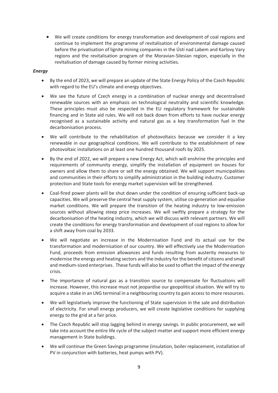We will create conditions for energy transformation and development of coal regions and continue to implement the programme of revitalisation of environmental damage caused before the privatisation of lignite mining companies in the Ústí nad Labem and Karlovy Vary regions and the revitalisation program of the Moravian-Silesian region, especially in the revitalisation of damage caused by former mining activities.

### *Energy*

- By the end of 2023, we will prepare an update of the State Energy Policy of the Czech Republic with regard to the EU's climate and energy objectives.
- We see the future of Czech energy in a combination of nuclear energy and decentralised renewable sources with an emphasis on technological neutrality and scientific knowledge. These principles must also be respected in the EU regulatory framework for sustainable financing and in State aid rules. We will not back down from efforts to have nuclear energy recognised as a sustainable activity and natural gas as a key transformation fuel in the decarbonisation process.
- We will contribute to the rehabilitation of photovoltaics because we consider it a key renewable in our geographical conditions. We will contribute to the establishment of new photovoltaic installations on at least one hundred thousand roofs by 2025.
- By the end of 2022, we will prepare a new Energy Act, which will enshrine the principles and requirements of community energy, simplify the installation of equipment on houses for owners and allow them to share or sell the energy obtained. We will support municipalities and communities in their efforts to simplify administration in the building industry. Customer protection and State tools for energy market supervision will be strengthened.
- Coal-fired power plants will be shut down under the condition of ensuring sufficient back-up capacities. We will preserve the central heat supply system, utilise co-generation and equalise market conditions. We will prepare the transition of the heating industry to low-emission sources without allowing steep price increases. We will swiftly prepare a strategy for the decarbonisation of the heating industry, which we will discuss with relevant partners. We will create the conditions for energy transformation and development of coal regions to allow for a shift away from coal by 2033.
- We will negotiate an increase in the Modernisation Fund and its actual use for the transformation and modernisation of our country. We will effectively use the Modernisation Fund, proceeds from emission allowances and funds resulting from austerity measures to modernise the energy and heating sectors and the industry for the benefit of citizens and small and medium-sized enterprises. These funds will also be used to offset the impact of the energy crisis.
- The importance of natural gas as a transition source to compensate for fluctuations will increase. However, this increase must not jeopardise our geopolitical situation. We will try to acquire a stake in an LNG terminal in a neighbouring country to gain access to more resources.
- We will legislatively improve the functioning of State supervision in the sale and distribution of electricity. For small energy producers, we will create legislative conditions for supplying energy to the grid at a fair price.
- The Czech Republic will stop lagging behind in energy savings. In public procurement, we will take into account the entire life cycle of the subject-matter and support more efficient energy management in State buildings.
- We will continue the Green Savings programme (insulation, boiler replacement, installation of PV in conjunction with batteries, heat pumps with PV).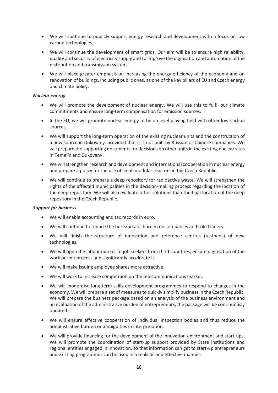- We will continue to publicly support energy research and development with a focus on low carbon technologies.
- We will continue the development of smart grids. Our aim will be to ensure high reliability, quality and security of electricity supply and to improve the digitisation and automation of the distribution and transmission system.
- We will place greater emphasis on increasing the energy efficiency of the economy and on renovation of buildings, including public ones, as one of the key pillars of EU and Czech energy and climate policy.

### *Nuclear energy*

- We will promote the development of nuclear energy. We will use this to fulfil our climate commitments and ensure long-term compensation for emission sources.
- In the EU, we will promote nuclear energy to be on level playing field with other low-carbon sources.
- We will support the long-term operation of the existing nuclear units and the construction of a new source in Dukovany, provided that it is not built by Russian or Chinese companies. We will prepare the supporting documents for decisions on other units in the existing nuclear sites in Temelín and Dukovany.
- We will strengthen research and development and international cooperation in nuclear energy and prepare a policy for the use of small modular reactors in the Czech Republic.
- We will continue to prepare a deep repository for radioactive waste. We will strengthen the rights of the affected municipalities in the decision-making process regarding the location of the deep repository. We will also evaluate other solutions than the final location of the deep repository in the Czech Republic.

### *Support for business*

- We will enable accounting and tax records in euro.
- We will continue to reduce the bureaucratic burden on companies and sole traders.
- We will finish the structure of innovation and reference centres (testbeds) of new technologies.
- We will open the labour market to job seekers from third countries, ensure digitisation of the work permit process and significantly accelerate it.
- We will make issuing employee shares more attractive.
- We will work to increase competition on the telecommunications market.
- We will modernise long-term skills development programmes to respond to changes in the economy. We will prepare a set of measures to quickly simplify business in the Czech Republic. We will prepare the business package based on an analysis of the business environment and an evaluation of the administrative burden of entrepreneurs; the package will be continuously updated.
- We will ensure effective cooperation of individual inspection bodies and thus reduce the administrative burden or ambiguities in interpretation.
- We will provide financing for the development of the innovation environment and start-ups. We will promote the coordination of start-up support provided by State institutions and regional entities engaged in innovation, so that information can get to start-up entrepreneurs and existing programmes can be used in a realistic and effective manner.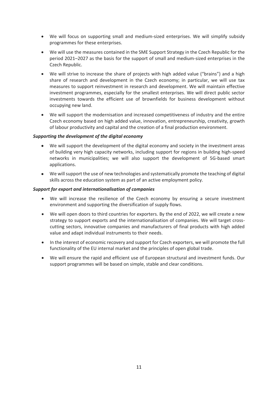- We will focus on supporting small and medium-sized enterprises. We will simplify subsidy programmes for these enterprises.
- We will use the measures contained in the SME Support Strategy in the Czech Republic for the period 2021–2027 as the basis for the support of small and medium-sized enterprises in the Czech Republic.
- We will strive to increase the share of projects with high added value ("brains") and a high share of research and development in the Czech economy; in particular, we will use tax measures to support reinvestment in research and development. We will maintain effective investment programmes, especially for the smallest enterprises. We will direct public sector investments towards the efficient use of brownfields for business development without occupying new land.
- We will support the modernisation and increased competitiveness of industry and the entire Czech economy based on high added value, innovation, entrepreneurship, creativity, growth of labour productivity and capital and the creation of a final production environment.

### *Supporting the development of the digital economy*

- We will support the development of the digital economy and society in the investment areas of building very high capacity networks, including support for regions in building high-speed networks in municipalities; we will also support the development of 5G-based smart applications.
- We will support the use of new technologies and systematically promote the teaching of digital skills across the education system as part of an active employment policy.

### *Support for export and internationalisation of companies*

- We will increase the resilience of the Czech economy by ensuring a secure investment environment and supporting the diversification of supply flows.
- We will open doors to third countries for exporters. By the end of 2022, we will create a new strategy to support exports and the internationalisation of companies. We will target crosscutting sectors, innovative companies and manufacturers of final products with high added value and adapt individual instruments to their needs.
- In the interest of economic recovery and support for Czech exporters, we will promote the full functionality of the EU internal market and the principles of open global trade.
- We will ensure the rapid and efficient use of European structural and investment funds. Our support programmes will be based on simple, stable and clear conditions.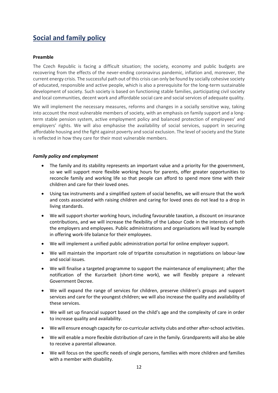### <span id="page-12-0"></span>**Social and family policy**

### **Preamble**

The Czech Republic is facing a difficult situation; the society, economy and public budgets are recovering from the effects of the never-ending coronavirus pandemic, inflation and, moreover, the current energy crisis. The successful path out of this crisis can only be found by socially cohesive society of educated, responsible and active people, which is also a prerequisite for the long-term sustainable development of society. Such society is based on functioning stable families, participating civil society and local communities, decent work and affordable social care and social services of adequate quality.

We will implement the necessary measures, reforms and changes in a socially sensitive way, taking into account the most vulnerable members of society, with an emphasis on family support and a longterm stable pension system, active employment policy and balanced protection of employees' and employers' rights. We will also emphasise the availability of social services, support in securing affordable housing and the fight against poverty and social exclusion. The level of society and the State is reflected in how they care for their most vulnerable members.

### *Family policy and employment*

- The family and its stability represents an important value and a priority for the government, so we will support more flexible working hours for parents, offer greater opportunities to reconcile family and working life so that people can afford to spend more time with their children and care for their loved ones.
- Using tax instruments and a simplified system of social benefits, we will ensure that the work and costs associated with raising children and caring for loved ones do not lead to a drop in living standards.
- We will support shorter working hours, including favourable taxation, a discount on insurance contributions, and we will increase the flexibility of the Labour Code in the interests of both the employers and employees. Public administrations and organisations will lead by example in offering work-life balance for their employees.
- We will implement a unified public administration portal for online employer support.
- We will maintain the important role of tripartite consultation in negotiations on labour-law and social issues.
- We will finalise a targeted programme to support the maintenance of employment; after the notification of the Kurzarbeit (short-time work), we will flexibly prepare a relevant Government Decree.
- We will expand the range of services for children, preserve children's groups and support services and care for the youngest children; we will also increase the quality and availability of these services.
- We will set up financial support based on the child's age and the complexity of care in order to increase quality and availability.
- We will ensure enough capacity for co-curricular activity clubs and other after-school activities.
- We will enable a more flexible distribution of care in the family. Grandparents will also be able to receive a parental allowance.
- We will focus on the specific needs of single persons, families with more children and families with a member with disability.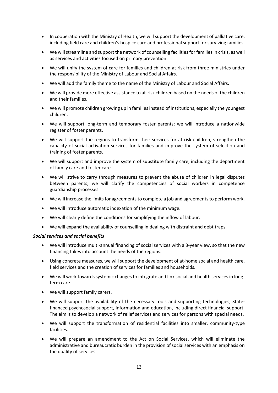- In cooperation with the Ministry of Health, we will support the development of palliative care, including field care and children's hospice care and professional support for surviving families.
- We will streamline and support the network of counselling facilities for families in crisis, as well as services and activities focused on primary prevention.
- We will unify the system of care for families and children at risk from three ministries under the responsibility of the Ministry of Labour and Social Affairs.
- We will add the family theme to the name of the Ministry of Labour and Social Affairs.
- We will provide more effective assistance to at-risk children based on the needs of the children and their families.
- We will promote children growing up in families instead of institutions, especially the youngest children.
- We will support long-term and temporary foster parents; we will introduce a nationwide register of foster parents.
- We will support the regions to transform their services for at-risk children, strengthen the capacity of social activation services for families and improve the system of selection and training of foster parents.
- We will support and improve the system of substitute family care, including the department of family care and foster care.
- We will strive to carry through measures to prevent the abuse of children in legal disputes between parents; we will clarify the competencies of social workers in competence guardianship processes.
- We will increase the limits for agreements to complete a job and agreements to perform work.
- We will introduce automatic indexation of the minimum wage.
- We will clearly define the conditions for simplifying the inflow of labour.
- We will expand the availability of counselling in dealing with distraint and debt traps.

### *Social services and social benefits*

- We will introduce multi-annual financing of social services with a 3-year view, so that the new financing takes into account the needs of the regions.
- Using concrete measures, we will support the development of at-home social and health care, field services and the creation of services for families and households.
- We will work towards systemic changes to integrate and link social and health services in longterm care.
- We will support family carers.
- We will support the availability of the necessary tools and supporting technologies, Statefinanced psychosocial support, information and education, including direct financial support. The aim is to develop a network of relief services and services for persons with special needs.
- We will support the transformation of residential facilities into smaller, community-type facilities.
- We will prepare an amendment to the Act on Social Services, which will eliminate the administrative and bureaucratic burden in the provision of social services with an emphasis on the quality of services.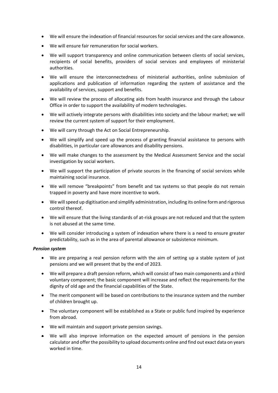- We will ensure the indexation of financial resources for social services and the care allowance.
- We will ensure fair remuneration for social workers.
- We will support transparency and online communication between clients of social services, recipients of social benefits, providers of social services and employees of ministerial authorities.
- We will ensure the interconnectedness of ministerial authorities, online submission of applications and publication of information regarding the system of assistance and the availability of services, support and benefits.
- We will review the process of allocating aids from health insurance and through the Labour Office in order to support the availability of modern technologies.
- We will actively integrate persons with disabilities into society and the labour market; we will review the current system of support for their employment.
- We will carry through the Act on Social Entrepreneurship.
- We will simplify and speed up the process of granting financial assistance to persons with disabilities, in particular care allowances and disability pensions.
- We will make changes to the assessment by the Medical Assessment Service and the social investigation by social workers.
- We will support the participation of private sources in the financing of social services while maintaining social insurance.
- We will remove "breakpoints" from benefit and tax systems so that people do not remain trapped in poverty and have more incentive to work.
- We will speed up digitisation and simplify administration, including its online form and rigorous control thereof.
- We will ensure that the living standards of at-risk groups are not reduced and that the system is not abused at the same time.
- We will consider introducing a system of indexation where there is a need to ensure greater predictability, such as in the area of parental allowance or subsistence minimum.

### *Pension system*

- We are preparing a real pension reform with the aim of setting up a stable system of just pensions and we will present that by the end of 2023.
- We will prepare a draft pension reform, which will consist of two main components and a third voluntary component; the basic component will increase and reflect the requirements for the dignity of old age and the financial capabilities of the State.
- The merit component will be based on contributions to the insurance system and the number of children brought up.
- The voluntary component will be established as a State or public fund inspired by experience from abroad.
- We will maintain and support private pension savings.
- We will also improve information on the expected amount of pensions in the pension calculator and offer the possibility to upload documents online and find out exact data on years worked in time.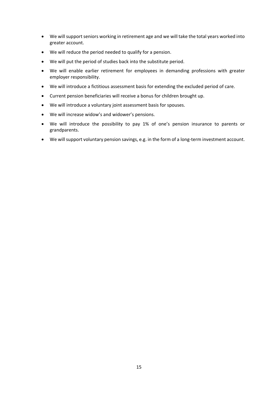- We will support seniors working in retirement age and we will take the total years worked into greater account.
- We will reduce the period needed to qualify for a pension.
- We will put the period of studies back into the substitute period.
- We will enable earlier retirement for employees in demanding professions with greater employer responsibility.
- We will introduce a fictitious assessment basis for extending the excluded period of care.
- Current pension beneficiaries will receive a bonus for children brought up.
- We will introduce a voluntary joint assessment basis for spouses.
- We will increase widow's and widower's pensions.
- We will introduce the possibility to pay 1% of one's pension insurance to parents or grandparents.
- We will support voluntary pension savings, e.g. in the form of a long-term investment account.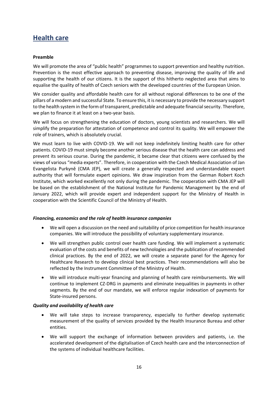### <span id="page-16-0"></span>**Health care**

### **Preamble**

We will promote the area of "public health" programmes to support prevention and healthy nutrition. Prevention is the most effective approach to preventing disease, improving the quality of life and supporting the health of our citizens. It is the support of this hitherto neglected area that aims to equalise the quality of health of Czech seniors with the developed countries of the European Union.

We consider quality and affordable health care for all without regional differences to be one of the pillars of a modern and successful State. To ensure this, it is necessary to provide the necessary support to the health system in the form of transparent, predictable and adequate financial security. Therefore, we plan to finance it at least on a two-year basis.

We will focus on strengthening the education of doctors, young scientists and researchers. We will simplify the preparation for attestation of competence and control its quality. We will empower the role of trainers, which is absolutely crucial.

We must learn to live with COVID-19. We will not keep indefinitely limiting health care for other patients. COVID-19 must simply become another serious disease that the health care can address and prevent its serious course. During the pandemic, it became clear that citizens were confused by the views of various "media experts". Therefore, in cooperation with the Czech Medical Association of Jan Evangelista Purkyně (CMA JEP), we will create a generally respected and understandable expert authority that will formulate expert opinions. We draw inspiration from the German Robert Koch Institute, which worked excellently not only during the pandemic. The cooperation with CMA JEP will be based on the establishment of the National Institute for Pandemic Management by the end of January 2022, which will provide expert and independent support for the Ministry of Health in cooperation with the Scientific Council of the Ministry of Health.

### *Financing, economics and the role of health insurance companies*

- We will open a discussion on the need and suitability of price competition for health insurance companies. We will introduce the possibility of voluntary supplementary insurance.
- We will strengthen public control over health care funding. We will implement a systematic evaluation of the costs and benefits of new technologies and the publication of recommended clinical practices. By the end of 2022, we will create a separate panel for the Agency for Healthcare Research to develop clinical best practices. Their recommendations will also be reflected by the Instrument Committee of the Ministry of Health.
- We will introduce multi-year financing and planning of health care reimbursements. We will continue to implement CZ-DRG in payments and eliminate inequalities in payments in other segments. By the end of our mandate, we will enforce regular indexation of payments for State-insured persons.

### *Quality and availability of health care*

- We will take steps to increase transparency, especially to further develop systematic measurement of the quality of services provided by the Health Insurance Bureau and other entities.
- We will support the exchange of information between providers and patients, i.e. the accelerated development of the digitalisation of Czech health care and the interconnection of the systems of individual healthcare facilities.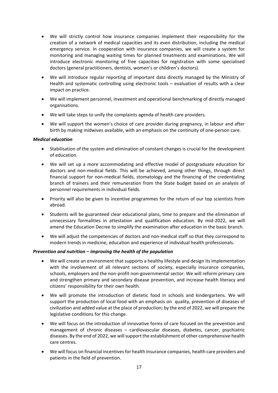- We will strictly control how insurance companies implement their responsibility for the creation of a network of medical capacities and its even distribution, including the medical emergency service. In cooperation with insurance companies, we will create a system for monitoring and managing waiting times for planned treatments and examinations. We will introduce electronic monitoring of free capacities for registration with some specialised doctors (general practitioners, dentists, women's or children's doctors).
- We will introduce regular reporting of important data directly managed by the Ministry of Health and systematic controlling using electronic tools – evaluation of results with a clear impact on practice.
- We will implement personnel, investment and operational benchmarking of directly managed organisations.
- We will take steps to unify the complaints agenda of health care providers.
- We will support the women's choice of care provider during pregnancy, in labour and after birth by making midwives available, with an emphasis on the continuity of one-person care.

### *Medical education*

- Stabilisation of the system and elimination of constant changes is crucial for the development of education.
- We will set up a more accommodating and effective model of postgraduate education for doctors and non-medical fields. This will be achieved, among other things, through direct financial support for non-medical fields, stomatology and the financing of the credentialing branch of trainers and their remuneration from the State budget based on an analysis of personnel requirements in individual fields.
- Priority will also be given to incentive programmes for the return of our top scientists from abroad.
- Students will be guaranteed clear educational plans, time to prepare and the elimination of unnecessary formalities in attestation and qualification education. By mid-2022, we will amend the Education Decree to simplify the examination after education in the basic branch.
- We will adjust the competencies of doctors and non-medical staff so that they correspond to modern trends in medicine, education and experience of individual health professionals.

### *Prevention and nutrition – improving the health of the population*

- We will create an environment that supports a healthy lifestyle and design its implementation with the involvement of all relevant sections of society, especially insurance companies, schools, employers and the non-profit non-governmental sector. We will reform primary care and strengthen primary and secondary disease prevention, and increase health literacy and citizens' responsibility for their own health.
- We will promote the introduction of dietetic food in schools and kindergartens. We will support the production of local food with an emphasis on quality, prevention of diseases of civilization and added value at the place of production; by the end of 2022, we will prepare the legislative conditions for this change.
- We will focus on the introduction of innovative forms of care focused on the prevention and management of chronic diseases – cardiovascular diseases, diabetes, cancer, psychiatric diseases. By the end of 2022, we will support the establishment of other comprehensive health care centres.
- We will focus on financial incentives for health insurance companies, health care providers and patients in the field of prevention.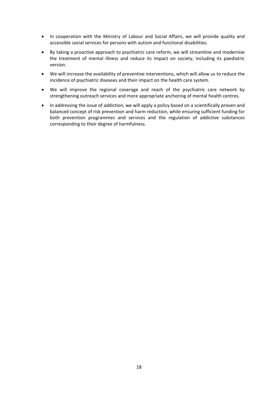- In cooperation with the Ministry of Labour and Social Affairs, we will provide quality and accessible social services for persons with autism and functional disabilities.
- By taking a proactive approach to psychiatric care reform, we will streamline and modernise the treatment of mental illness and reduce its impact on society, including its paediatric version.
- We will increase the availability of preventive interventions, which will allow us to reduce the incidence of psychiatric diseases and their impact on the health care system.
- We will improve the regional coverage and reach of the psychiatric care network by strengthening outreach services and more appropriate anchoring of mental health centres.
- In addressing the issue of addiction, we will apply a policy based on a scientifically proven and balanced concept of risk prevention and harm reduction, while ensuring sufficient funding for both prevention programmes and services and the regulation of addictive substances corresponding to their degree of harmfulness.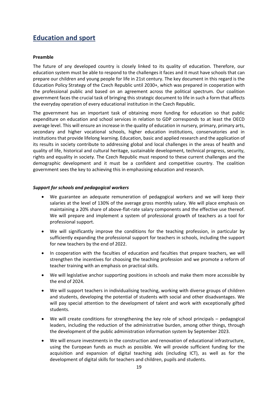### <span id="page-19-0"></span>**Education and sport**

### **Preamble**

The future of any developed country is closely linked to its quality of education. Therefore, our education system must be able to respond to the challenges it faces and it must have schools that can prepare our children and young people for life in 21st century. The key document in this regard is the Education Policy Strategy of the Czech Republic until 2030+, which was prepared in cooperation with the professional public and based on an agreement across the political spectrum. Our coalition government faces the crucial task of bringing this strategic document to life in such a form that affects the everyday operation of every educational institution in the Czech Republic.

The government has an important task of obtaining more funding for education so that public expenditure on education and school services in relation to GDP corresponds to at least the OECD average level. This will ensure an increase in the quality of education in nursery, primary, primary arts, secondary and higher vocational schools, higher education institutions, conservatories and in institutions that provide lifelong learning. Education, basic and applied research and the application of its results in society contribute to addressing global and local challenges in the areas of health and quality of life, historical and cultural heritage, sustainable development, technical progress, security, rights and equality in society. The Czech Republic must respond to these current challenges and the demographic development and it must be a confident and competitive country. The coalition government sees the key to achieving this in emphasising education and research.

### *Support for schools and pedagogical workers*

- We guarantee an adequate remuneration of pedagogical workers and we will keep their salaries at the level of 130% of the average gross monthly salary. We will place emphasis on maintaining a 20% share of above-flat-rate salary components and the effective use thereof. We will prepare and implement a system of professional growth of teachers as a tool for professional support.
- We will significantly improve the conditions for the teaching profession, in particular by sufficiently expanding the professional support for teachers in schools, including the support for new teachers by the end of 2022.
- In cooperation with the faculties of education and faculties that prepare teachers, we will strengthen the incentives for choosing the teaching profession and we promote a reform of teacher training with an emphasis on practical skills.
- We will legislative anchor supporting positions in schools and make them more accessible by the end of 2024.
- We will support teachers in individualising teaching, working with diverse groups of children and students, developing the potential of students with social and other disadvantages. We will pay special attention to the development of talent and work with exceptionally gifted students.
- We will create conditions for strengthening the key role of school principals pedagogical leaders, including the reduction of the administrative burden, among other things, through the development of the public administration information system by September 2023.
- We will ensure investments in the construction and renovation of educational infrastructure, using the European funds as much as possible. We will provide sufficient funding for the acquisition and expansion of digital teaching aids (including ICT), as well as for the development of digital skills for teachers and children, pupils and students.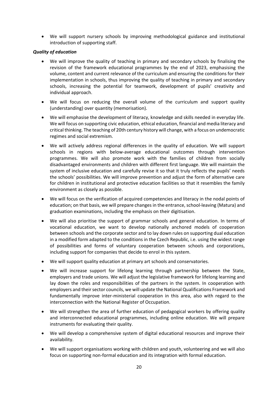We will support nursery schools by improving methodological guidance and institutional introduction of supporting staff.

### *Quality of education*

- We will improve the quality of teaching in primary and secondary schools by finalising the revision of the framework educational programmes by the end of 2023, emphasising the volume, content and current relevance of the curriculum and ensuring the conditions for their implementation in schools, thus improving the quality of teaching in primary and secondary schools, increasing the potential for teamwork, development of pupils' creativity and individual approach.
- We will focus on reducing the overall volume of the curriculum and support quality (understanding) over quantity (memorisation).
- We will emphasise the development of literacy, knowledge and skills needed in everyday life. We will focus on supporting civic education, ethical education, financial and media literacy and critical thinking. The teaching of 20th century history will change, with a focus on undemocratic regimes and social extremism.
- We will actively address regional differences in the quality of education. We will support schools in regions with below-average educational outcomes through intervention programmes. We will also promote work with the families of children from socially disadvantaged environments and children with different first language. We will maintain the system of inclusive education and carefully revise it so that it truly reflects the pupils' needs the schools' possibilities. We will improve prevention and adjust the form of alternative care for children in institutional and protective education facilities so that it resembles the family environment as closely as possible.
- We will focus on the verification of acquired competencies and literacy in the nodal points of education; on that basis, we will prepare changes in the entrance, school-leaving (Matura) and graduation examinations, including the emphasis on their digitisation.
- We will also prioritise the support of grammar schools and general education. In terms of vocational education, we want to develop nationally anchored models of cooperation between schools and the corporate sector and to lay down rules on supporting dual education in a modified form adapted to the conditions in the Czech Republic, i.e. using the widest range of possibilities and forms of voluntary cooperation between schools and corporations, including support for companies that decide to enrol in this system.
- We will support quality education at primary art schools and conservatories.
- We will increase support for lifelong learning through partnership between the State, employers and trade unions. We will adjust the legislative framework for lifelong learning and lay down the roles and responsibilities of the partners in the system. In cooperation with employers and their sector councils, we will update the National Qualifications Framework and fundamentally improve inter-ministerial cooperation in this area, also with regard to the interconnection with the National Register of Occupation.
- We will strengthen the area of further education of pedagogical workers by offering quality and interconnected educational programmes, including online education. We will prepare instruments for evaluating their quality.
- We will develop a comprehensive system of digital educational resources and improve their availability.
- We will support organisations working with children and youth, volunteering and we will also focus on supporting non-formal education and its integration with formal education.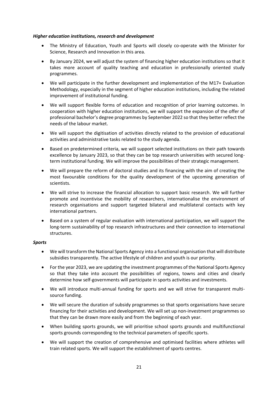### *Higher education institutions, research and development*

- The Ministry of Education, Youth and Sports will closely co-operate with the Minister for Science, Research and Innovation in this area.
- By January 2024, we will adjust the system of financing higher education institutions so that it takes more account of quality teaching and education in professionally oriented study programmes.
- We will participate in the further development and implementation of the M17+ Evaluation Methodology, especially in the segment of higher education institutions, including the related improvement of institutional funding.
- We will support flexible forms of education and recognition of prior learning outcomes. In cooperation with higher education institutions, we will support the expansion of the offer of professional bachelor's degree programmes by September 2022 so that they better reflect the needs of the labour market.
- We will support the digitisation of activities directly related to the provision of educational activities and administrative tasks related to the study agenda.
- Based on predetermined criteria, we will support selected institutions on their path towards excellence by January 2023, so that they can be top research universities with secured longterm institutional funding. We will improve the possibilities of their strategic management.
- We will prepare the reform of doctoral studies and its financing with the aim of creating the most favourable conditions for the quality development of the upcoming generation of scientists.
- We will strive to increase the financial allocation to support basic research. We will further promote and incentivise the mobility of researchers, internationalise the environment of research organisations and support targeted bilateral and multilateral contacts with key international partners.
- Based on a system of regular evaluation with international participation, we will support the long-term sustainability of top research infrastructures and their connection to international structures.

### *Sports*

- We will transform the National Sports Agency into a functional organisation that will distribute subsidies transparently. The active lifestyle of children and youth is our priority.
- For the year 2023, we are updating the investment programmes of the National Sports Agency so that they take into account the possibilities of regions, towns and cities and clearly determine how self-governments will participate in sports activities and investments.
- We will introduce multi-annual funding for sports and we will strive for transparent multisource funding.
- We will secure the duration of subsidy programmes so that sports organisations have secure financing for their activities and development. We will set up non-investment programmes so that they can be drawn more easily and from the beginning of each year.
- When building sports grounds, we will prioritise school sports grounds and multifunctional sports grounds corresponding to the technical parameters of specific sports.
- We will support the creation of comprehensive and optimised facilities where athletes will train related sports. We will support the establishment of sports centres.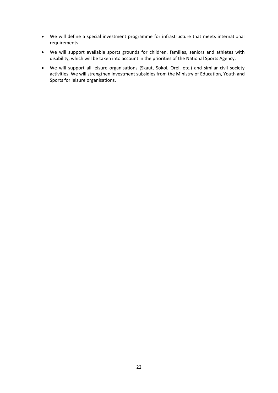- We will define a special investment programme for infrastructure that meets international requirements.
- We will support available sports grounds for children, families, seniors and athletes with disability, which will be taken into account in the priorities of the National Sports Agency.
- We will support all leisure organisations (Skaut, Sokol, Orel, etc.) and similar civil society activities. We will strengthen investment subsidies from the Ministry of Education, Youth and Sports for leisure organisations.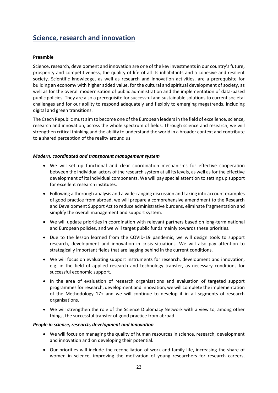### <span id="page-23-0"></span>**Science, research and innovation**

### **Preamble**

Science, research, development and innovation are one of the key investments in our country's future, prosperity and competitiveness, the quality of life of all its inhabitants and a cohesive and resilient society. Scientific knowledge, as well as research and innovation activities, are a prerequisite for building an economy with higher added value, for the cultural and spiritual development of society, as well as for the overall modernisation of public administration and the implementation of data-based public policies. They are also a prerequisite for successful and sustainable solutions to current societal challenges and for our ability to respond adequately and flexibly to emerging megatrends, including digital and green transitions.

The Czech Republic must aim to become one of the European leaders in the field of excellence, science, research and innovation, across the whole spectrum of fields. Through science and research, we will strengthen critical thinking and the ability to understand the world in a broader context and contribute to a shared perception of the reality around us.

### *Modern, coordinated and transparent management system*

- We will set up functional and clear coordination mechanisms for effective cooperation between the individual actors of the research system at all its levels, as well as for the effective development of its individual components. We will pay special attention to setting up support for excellent research institutes.
- Following a thorough analysis and a wide-ranging discussion and taking into account examples of good practice from abroad, we will prepare a comprehensive amendment to the Research and Development Support Act to reduce administrative burdens, eliminate fragmentation and simplify the overall management and support system.
- We will update priorities in coordination with relevant partners based on long-term national and European policies, and we will target public funds mainly towards these priorities.
- Due to the lesson learned from the COVID-19 pandemic, we will design tools to support research, development and innovation in crisis situations. We will also pay attention to strategically important fields that are lagging behind in the current conditions.
- We will focus on evaluating support instruments for research, development and innovation, e.g. in the field of applied research and technology transfer, as necessary conditions for successful economic support.
- In the area of evaluation of research organisations and evaluation of targeted support programmes for research, development and innovation, we will complete the implementation of the Methodology 17+ and we will continue to develop it in all segments of research organisations.
- We will strengthen the role of the Science Diplomacy Network with a view to, among other things, the successful transfer of good practice from abroad.

### *People in science, research, development and innovation*

- We will focus on managing the quality of human resources in science, research, development and innovation and on developing their potential.
- Our priorities will include the reconciliation of work and family life, increasing the share of women in science, improving the motivation of young researchers for research careers,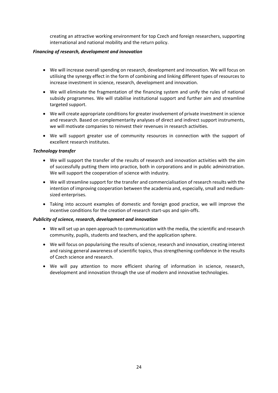creating an attractive working environment for top Czech and foreign researchers, supporting international and national mobility and the return policy.

### *Financing of research, development and innovation*

- We will increase overall spending on research, development and innovation. We will focus on utilising the synergy effect in the form of combining and linking different types of resources to increase investment in science, research, development and innovation.
- We will eliminate the fragmentation of the financing system and unify the rules of national subsidy programmes. We will stabilise institutional support and further aim and streamline targeted support.
- We will create appropriate conditions for greater involvement of private investment in science and research. Based on complementarity analyses of direct and indirect support instruments, we will motivate companies to reinvest their revenues in research activities.
- We will support greater use of community resources in connection with the support of excellent research institutes.

### *Technology transfer*

- We will support the transfer of the results of research and innovation activities with the aim of successfully putting them into practice, both in corporations and in public administration. We will support the cooperation of science with industry.
- We will streamline support for the transfer and commercialisation of research results with the intention of improving cooperation between the academia and, especially, small and mediumsized enterprises.
- Taking into account examples of domestic and foreign good practice, we will improve the incentive conditions for the creation of research start-ups and spin-offs.

### *Publicity of science, research, development and innovation*

- We will set up an open approach to communication with the media, the scientific and research community, pupils, students and teachers, and the application sphere.
- We will focus on popularising the results of science, research and innovation, creating interest and raising general awareness of scientific topics, thus strengthening confidence in the results of Czech science and research.
- We will pay attention to more efficient sharing of information in science, research, development and innovation through the use of modern and innovative technologies.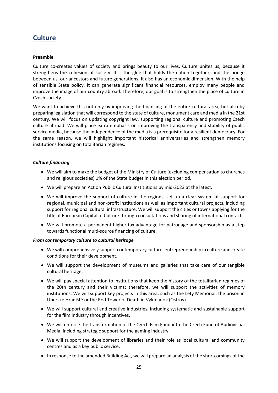### <span id="page-25-0"></span>**Culture**

### **Preamble**

Culture co-creates values of society and brings beauty to our lives. Culture unites us, because it strengthens the cohesion of society. It is the glue that holds the nation together, and the bridge between us, our ancestors and future generations. It also has an economic dimension. With the help of sensible State policy, it can generate significant financial resources, employ many people and improve the image of our country abroad. Therefore, our goal is to strengthen the place of culture in Czech society.

We want to achieve this not only by improving the financing of the entire cultural area, but also by preparing legislation that will correspond to the state of culture, monument care and media in the 21st century. We will focus on updating copyright law, supporting regional culture and promoting Czech culture abroad. We will place extra emphasis on improving the transparency and stability of public service media, because the independence of the media is a prerequisite for a resilient democracy. For the same reason, we will highlight important historical anniversaries and strengthen memory institutions focusing on totalitarian regimes.

### *Culture financing*

- We will aim to make the budget of the Ministry of Culture (excluding compensation to churches and religious societies) 1% of the State budget in this election period.
- We will prepare an Act on Public Cultural Institutions by mid-2023 at the latest.
- We will improve the support of culture in the regions, set up a clear system of support for regional, municipal and non-profit institutions as well as important cultural projects, including support for regional cultural infrastructure. We will support the cities or towns applying for the title of European Capital of Culture through consultations and sharing of international contacts.
- We will promote a permanent higher tax advantage for patronage and sponsorship as a step towards functional multi-source financing of culture.

### *From contemporary culture to cultural heritage*

- We will comprehensively support contemporary culture, entrepreneurship in culture and create conditions for their development.
- We will support the development of museums and galleries that take care of our tangible cultural heritage.
- We will pay special attention to institutions that keep the history of the totalitarian regimes of the 20th century and their victims; therefore, we will support the activities of memory institutions. We will support key projects in this area, such as the Lety Memorial, the prison in Uherské Hradiště or the Red Tower of Death in Vykmanov (Ostrov).
- We will support cultural and creative industries, including systematic and sustainable support for the film industry through incentives.
- We will enforce the transformation of the Czech Film Fund into the Czech Fund of Audiovisual Media, including strategic support for the gaming industry.
- We will support the development of libraries and their role as local cultural and community centres and as a key public service.
- In response to the amended Building Act, we will prepare an analysis of the shortcomings of the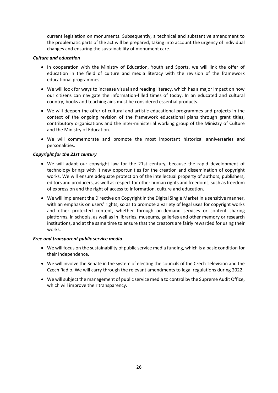current legislation on monuments. Subsequently, a technical and substantive amendment to the problematic parts of the act will be prepared, taking into account the urgency of individual changes and ensuring the sustainability of monument care.

### *Culture and education*

- In cooperation with the Ministry of Education, Youth and Sports, we will link the offer of education in the field of culture and media literacy with the revision of the framework educational programmes.
- We will look for ways to increase visual and reading literacy, which has a major impact on how our citizens can navigate the information-filled times of today. In an educated and cultural country, books and teaching aids must be considered essential products.
- We will deepen the offer of cultural and artistic educational programmes and projects in the context of the ongoing revision of the framework educational plans through grant titles, contributory organisations and the inter-ministerial working group of the Ministry of Culture and the Ministry of Education.
- We will commemorate and promote the most important historical anniversaries and personalities.

### *Copyright for the 21st century*

- We will adapt our copyright law for the 21st century, because the rapid development of technology brings with it new opportunities for the creation and dissemination of copyright works. We will ensure adequate protection of the intellectual property of authors, publishers, editors and producers, as well as respect for other human rights and freedoms, such as freedom of expression and the right of access to information, culture and education.
- We will implement the Directive on Copyright in the Digital Single Market in a sensitive manner, with an emphasis on users' rights, so as to promote a variety of legal uses for copyright works and other protected content, whether through on-demand services or content sharing platforms, in schools, as well as in libraries, museums, galleries and other memory or research institutions, and at the same time to ensure that the creators are fairly rewarded for using their works.

### *Free and transparent public service media*

- We will focus on the sustainability of public service media funding, which is a basic condition for their independence.
- We will involve the Senate in the system of electing the councils of the Czech Television and the Czech Radio. We will carry through the relevant amendments to legal regulations during 2022.
- We will subject the management of public service media to control by the Supreme Audit Office, which will improve their transparency.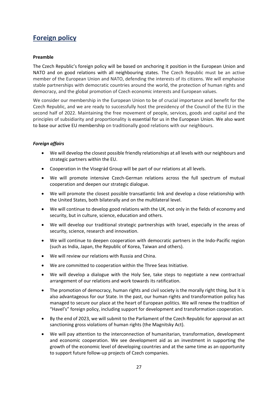### <span id="page-27-0"></span>**Foreign policy**

### **Preamble**

The Czech Republic's foreign policy will be based on anchoring it position in the European Union and NATO and on good relations with all neighbouring states. The Czech Republic must be an active member of the European Union and NATO, defending the interests of its citizens. We will emphasise stable partnerships with democratic countries around the world, the protection of human rights and democracy, and the global promotion of Czech economic interests and European values.

We consider our membership in the European Union to be of crucial importance and benefit for the Czech Republic, and we are ready to successfully host the presidency of the Council of the EU in the second half of 2022. Maintaining the free movement of people, services, goods and capital and the principles of subsidiarity and proportionality is essential for us in the European Union. We also want to base our active EU membership on traditionally good relations with our neighbours.

### *Foreign affairs*

- We will develop the closest possible friendly relationships at all levels with our neighbours and strategic partners within the EU.
- Cooperation in the Visegrád Group will be part of our relations at all levels.
- We will promote intensive Czech-German relations across the full spectrum of mutual cooperation and deepen our strategic dialogue.
- We will promote the closest possible transatlantic link and develop a close relationship with the United States, both bilaterally and on the multilateral level.
- We will continue to develop good relations with the UK, not only in the fields of economy and security, but in culture, science, education and others.
- We will develop our traditional strategic partnerships with Israel, especially in the areas of security, science, research and innovation.
- We will continue to deepen cooperation with democratic partners in the Indo-Pacific region (such as India, Japan, the Republic of Korea, Taiwan and others).
- We will review our relations with Russia and China.
- We are committed to cooperation within the Three Seas Initiative.
- We will develop a dialogue with the Holy See, take steps to negotiate a new contractual arrangement of our relations and work towards its ratification.
- The promotion of democracy, human rights and civil society is the morally right thing, but it is also advantageous for our State. In the past, our human rights and transformation policy has managed to secure our place at the heart of European politics. We will renew the tradition of "Havel's" foreign policy, including support for development and transformation cooperation.
- By the end of 2023, we will submit to the Parliament of the Czech Republic for approval an act sanctioning gross violations of human rights (the Magnitsky Act).
- We will pay attention to the interconnection of humanitarian, transformation, development and economic cooperation. We see development aid as an investment in supporting the growth of the economic level of developing countries and at the same time as an opportunity to support future follow-up projects of Czech companies.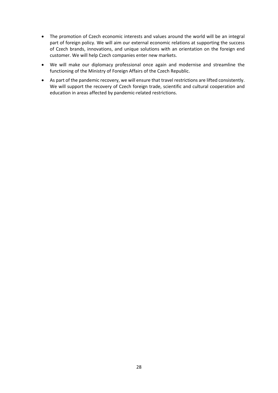- The promotion of Czech economic interests and values around the world will be an integral part of foreign policy. We will aim our external economic relations at supporting the success of Czech brands, innovations, and unique solutions with an orientation on the foreign end customer. We will help Czech companies enter new markets.
- We will make our diplomacy professional once again and modernise and streamline the functioning of the Ministry of Foreign Affairs of the Czech Republic.
- As part of the pandemic recovery, we will ensure that travel restrictions are lifted consistently. We will support the recovery of Czech foreign trade, scientific and cultural cooperation and education in areas affected by pandemic-related restrictions.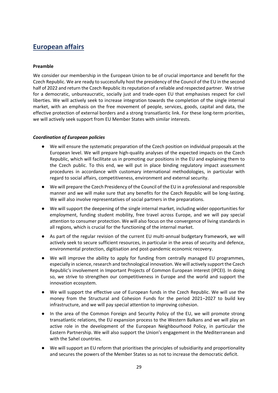### <span id="page-29-0"></span>**European affairs**

### **Preamble**

We consider our membership in the European Union to be of crucial importance and benefit for the Czech Republic. We are ready to successfully host the presidency of the Council of the EU in the second half of 2022 and return the Czech Republic its reputation of a reliable and respected partner. We strive for a democratic, unbureaucratic, socially just and trade-open EU that emphasises respect for civil liberties. We will actively seek to increase integration towards the completion of the single internal market, with an emphasis on the free movement of people, services, goods, capital and data, the effective protection of external borders and a strong transatlantic link. For these long-term priorities, we will actively seek support from EU Member States with similar interests.

### *Coordination of European policies*

- We will ensure the systematic preparation of the Czech position on individual proposals at the European level. We will prepare high-quality analyses of the expected impacts on the Czech Republic, which will facilitate us in promoting our positions in the EU and explaining them to the Czech public. To this end, we will put in place binding regulatory impact assessment procedures in accordance with customary international methodologies, in particular with regard to social affairs, competitiveness, environment and external security.
- We will prepare the Czech Presidency of the Council of the EU in a professional and responsible manner and we will make sure that any benefits for the Czech Republic will be long-lasting. We will also involve representatives of social partners in the preparations.
- We will support the deepening of the single internal market, including wider opportunities for employment, funding student mobility, free travel across Europe, and we will pay special attention to consumer protection. We will also focus on the convergence of living standards in all regions, which is crucial for the functioning of the internal market.
- As part of the regular revision of the current EU multi-annual budgetary framework, we will actively seek to secure sufficient resources, in particular in the areas of security and defence, environmental protection, digitisation and post-pandemic economic recovery.
- We will improve the ability to apply for funding from centrally managed EU programmes, especially in science, research and technological innovation. We will actively support the Czech Republic's involvement in Important Projects of Common European interest (IPCEI). In doing so, we strive to strengthen our competitiveness in Europe and the world and support the innovation ecosystem.
- We will support the effective use of European funds in the Czech Republic. We will use the money from the Structural and Cohesion Funds for the period 2021–2027 to build key infrastructure, and we will pay special attention to improving cohesion.
- In the area of the Common Foreign and Security Policy of the EU, we will promote strong transatlantic relations, the EU expansion process to the Western Balkans and we will play an active role in the development of the European Neighbourhood Policy, in particular the Eastern Partnership. We will also support the Union's engagement in the Mediterranean and with the Sahel countries.
- We will support an EU reform that prioritises the principles of subsidiarity and proportionality and secures the powers of the Member States so as not to increase the democratic deficit.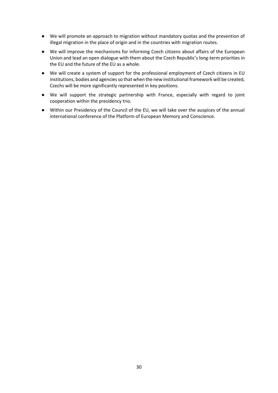- We will promote an approach to migration without mandatory quotas and the prevention of illegal migration in the place of origin and in the countries with migration routes.
- We will improve the mechanisms for informing Czech citizens about affairs of the European Union and lead an open dialogue with them about the Czech Republic's long-term priorities in the EU and the future of the EU as a whole.
- We will create a system of support for the professional employment of Czech citizens in EU institutions, bodies and agencies so that when the new institutional framework will be created, Czechs will be more significantly represented in key positions.
- We will support the strategic partnership with France, especially with regard to joint cooperation within the presidency trio.
- Within our Presidency of the Council of the EU, we will take over the auspices of the annual international conference of the Platform of European Memory and Conscience.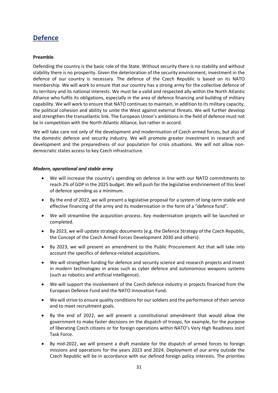### <span id="page-31-0"></span>**Defence**

### **Preamble**

Defending the country is the basic role of the State. Without security there is no stability and without stability there is no prosperity. Given the deterioration of the security environment, investment in the defence of our country is necessary. The defence of the Czech Republic is based on its NATO membership. We will work to ensure that our country has a strong army for the collective defence of its territory and its national interests. We must be a valid and respected ally within the North Atlantic Alliance who fulfils its obligations, especially in the area of defence financing and building of military capability. We will work to ensure that NATO continues to maintain, in addition to its military capacity, the political cohesion and ability to unite the West against external threats. We will further develop and strengthen the transatlantic link. The European Union's ambitions in the field of defence must not be in competition with the North Atlantic Alliance, but rather in accord.

We will take care not only of the development and modernisation of Czech armed forces, but also of the domestic defence and security industry. We will promote greater investment in research and development and the preparedness of our population for crisis situations. We will not allow nondemocratic states access to key Czech infrastructure.

#### *Modern, operational and stable army*

- We will increase the country's spending on defence in line with our NATO commitments to reach 2% of GDP in the 2025 budget. We will push for the legislative enshrinement of this level of defence spending as a minimum.
- By the end of 2022, we will present a legislative proposal for a system of long-term stable and effective financing of the army and its modernisation in the form of a "defence fund".
- We will streamline the acquisition process. Key modernisation projects will be launched or completed.
- By 2023, we will update strategic documents (e.g. the Defence Strategy of the Czech Republic, the Concept of the Czech Armed Forces Development 2030 and others).
- By 2023, we will present an amendment to the Public Procurement Act that will take into account the specifics of defence-related acquisitions.
- We will strengthen funding for defence and security science and research projects and invest in modern technologies in areas such as cyber defence and autonomous weapons systems (such as robotics and artificial intelligence).
- We will support the involvement of the Czech defence industry in projects financed from the European Defence Fund and the NATO Innovation Fund.
- We will strive to ensure quality conditions for our soldiers and the performance of their service and to meet recruitment goals.
- By the end of 2022, we will present a constitutional amendment that would allow the government to make faster decisions on the dispatch of troops, for example, for the purpose of liberating Czech citizens or for foreign operations within NATO's Very High Readiness Joint Task Force.
- By mid-2022, we will present a draft mandate for the dispatch of armed forces to foreign missions and operations for the years 2023 and 2024. Deployment of our army outside the Czech Republic will be in accordance with our defined foreign policy interests. The priorities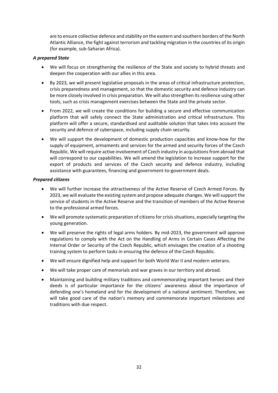are to ensure collective defence and stability on the eastern and southern borders of the North Atlantic Alliance, the fight against terrorism and tackling migration in the countries of its origin (for example, sub-Saharan Africa).

### *A prepared State*

- We will focus on strengthening the resilience of the State and society to hybrid threats and deepen the cooperation with our allies in this area.
- By 2023, we will present legislative proposals in the areas of critical infrastructure protection, crisis preparedness and management, so that the domestic security and defence industry can be more closely involved in crisis preparation. We will also strengthen its resilience using other tools, such as crisis management exercises between the State and the private sector.
- From 2022, we will create the conditions for building a secure and effective communication platform that will safely connect the State administration and critical infrastructure. This platform will offer a secure, standardised and auditable solution that takes into account the security and defence of cyberspace, including supply chain security.
- We will support the development of domestic production capacities and know-how for the supply of equipment, armaments and services for the armed and security forces of the Czech Republic. We will require active involvement of Czech industry in acquisitions from abroad that will correspond to our capabilities. We will amend the legislation to increase support for the export of products and services of the Czech security and defence industry, including assistance with guarantees, financing and government-to-government deals.

### *Prepared citizens*

- We will further increase the attractiveness of the Active Reserve of Czech Armed Forces. By 2023, we will evaluate the existing system and propose adequate changes. We will support the service of students in the Active Reserve and the transition of members of the Active Reserve to the professional armed forces.
- We will promote systematic preparation of citizens for crisis situations, especially targeting the young generation.
- We will preserve the rights of legal arms holders. By mid-2023, the government will approve regulations to comply with the Act on the Handling of Arms in Certain Cases Affecting the Internal Order or Security of the Czech Republic, which envisages the creation of a shooting training system to perform tasks in ensuring the defence of the Czech Republic.
- We will ensure dignified help and support for both World War II and modern veterans.
- We will take proper care of memorials and war graves in our territory and abroad.
- Maintaining and building military traditions and commemorating important heroes and their deeds is of particular importance for the citizens' awareness about the importance of defending one's homeland and for the development of a national sentiment. Therefore, we will take good care of the nation's memory and commemorate important milestones and traditions with due respect.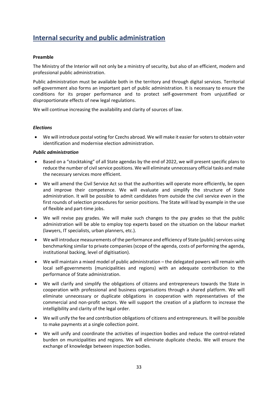### <span id="page-33-0"></span>**Internal security and public administration**

### **Preamble**

The Ministry of the Interior will not only be a ministry of security, but also of an efficient, modern and professional public administration.

Public administration must be available both in the territory and through digital services. Territorial self-government also forms an important part of public administration. It is necessary to ensure the conditions for its proper performance and to protect self-government from unjustified or disproportionate effects of new legal regulations.

We will continue increasing the availability and clarity of sources of law.

### *Elections*

 We will introduce postal voting for Czechs abroad. We will make it easier for voters to obtain voter identification and modernise election administration.

### *Public administration*

- Based on a "stocktaking" of all State agendas by the end of 2022, we will present specific plans to reduce the number of civil service positions. We will eliminate unnecessary official tasks and make the necessary services more efficient.
- We will amend the Civil Service Act so that the authorities will operate more efficiently, be open and improve their competence. We will evaluate and simplify the structure of State administration. It will be possible to admit candidates from outside the civil service even in the first rounds of selection procedures for senior positions. The State will lead by example in the use of flexible and part-time jobs.
- We will revise pay grades. We will make such changes to the pay grades so that the public administration will be able to employ top experts based on the situation on the labour market (lawyers, IT specialists, urban planners, etc.).
- We will introduce measurements of the performance and efficiency of State (public) services using benchmarking similar to private companies (scope of the agenda, costs of performing the agenda, institutional backing, level of digitisation).
- We will maintain a mixed model of public administration the delegated powers will remain with local self-governments (municipalities and regions) with an adequate contribution to the performance of State administration.
- We will clarify and simplify the obligations of citizens and entrepreneurs towards the State in cooperation with professional and business organisations through a shared platform. We will eliminate unnecessary or duplicate obligations in cooperation with representatives of the commercial and non-profit sectors. We will support the creation of a platform to increase the intelligibility and clarity of the legal order.
- We will unify the fee and contribution obligations of citizens and entrepreneurs. It will be possible to make payments at a single collection point.
- We will unify and coordinate the activities of inspection bodies and reduce the control-related burden on municipalities and regions. We will eliminate duplicate checks. We will ensure the exchange of knowledge between inspection bodies.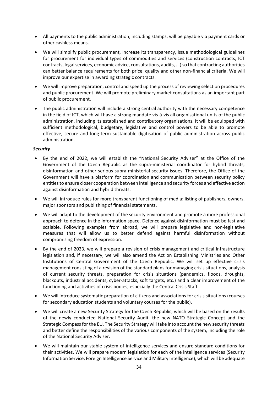- All payments to the public administration, including stamps, will be payable via payment cards or other cashless means.
- We will simplify public procurement, increase its transparency, issue methodological guidelines for procurement for individual types of commodities and services (construction contracts, ICT contracts, legal services, economic advice, consultations, audits, ...) so that contracting authorities can better balance requirements for both price, quality and other non-financial criteria. We will improve our expertise in awarding strategic contracts.
- We will improve preparation, control and speed up the process of reviewing selection procedures and public procurement. We will promote preliminary market consultations as an important part of public procurement.
- The public administration will include a strong central authority with the necessary competence in the field of ICT, which will have a strong mandate vis-à-vis all organisational units of the public administration, including its established and contributory organisations. It will be equipped with sufficient methodological, budgetary, legislative and control powers to be able to promote effective, secure and long-term sustainable digitisation of public administration across public administration.

### *Security*

- By the end of 2022, we will establish the "National Security Adviser" at the Office of the Government of the Czech Republic as the supra-ministerial coordinator for hybrid threats, disinformation and other serious supra-ministerial security issues. Therefore, the Office of the Government will have a platform for coordination and communication between security policy entities to ensure closer cooperation between intelligence and security forces and effective action against disinformation and hybrid threats.
- We will introduce rules for more transparent functioning of media: listing of publishers, owners, major sponsors and publishing of financial statements.
- We will adapt to the development of the security environment and promote a more professional approach to defence in the information space. Defence against disinformation must be fast and scalable. Following examples from abroad, we will prepare legislative and non-legislative measures that will allow us to better defend against harmful disinformation without compromising freedom of expression.
- By the end of 2023, we will prepare a revision of crisis management and critical infrastructure legislation and, if necessary, we will also amend the Act on Establishing Ministries and Other Institutions of Central Government of the Czech Republic. We will set up effective crisis management consisting of a revision of the standard plans for managing crisis situations, analysis of current security threats, preparation for crisis situations (pandemics, floods, droughts, blackouts, industrial accidents, cyber-attacks, soft targets, etc.) and a clear improvement of the functioning and activities of crisis bodies, especially the Central Crisis Staff.
- We will introduce systematic preparation of citizens and associations for crisis situations (courses for secondary education students and voluntary courses for the public).
- We will create a new Security Strategy for the Czech Republic, which will be based on the results of the newly conducted National Security Audit, the new NATO Strategic Concept and the Strategic Compass for the EU. The Security Strategy will take into account the new security threats and better define the responsibilities of the various components of the system, including the role of the National Security Adviser.
- We will maintain our stable system of intelligence services and ensure standard conditions for their activities. We will prepare modern legislation for each of the intelligence services (Security Information Service, Foreign Intelligence Service and Military Intelligence), which will be adequate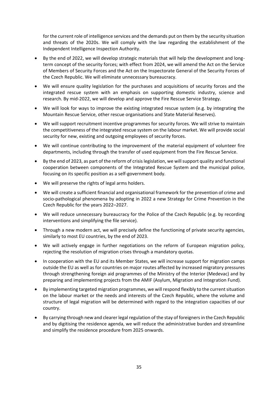for the current role of intelligence services and the demands put on them by the security situation and threats of the 2020s. We will comply with the law regarding the establishment of the Independent Intelligence Inspection Authority.

- By the end of 2022, we will develop strategic materials that will help the development and longterm concept of the security forces; with effect from 2024, we will amend the Act on the Service of Members of Security Forces and the Act on the Inspectorate General of the Security Forces of the Czech Republic. We will eliminate unnecessary bureaucracy.
- We will ensure quality legislation for the purchases and acquisitions of security forces and the integrated rescue system with an emphasis on supporting domestic industry, science and research. By mid-2022, we will develop and approve the Fire Rescue Service Strategy.
- We will look for ways to improve the existing integrated rescue system (e.g. by integrating the Mountain Rescue Service, other rescue organisations and State Material Reserves).
- We will support recruitment incentive programmes for security forces. We will strive to maintain the competitiveness of the integrated rescue system on the labour market. We will provide social security for new, existing and outgoing employees of security forces.
- We will continue contributing to the improvement of the material equipment of volunteer fire departments, including through the transfer of used equipment from the Fire Rescue Service.
- By the end of 2023, as part of the reform of crisis legislation, we will support quality and functional cooperation between components of the Integrated Rescue System and the municipal police, focusing on its specific position as a self-government body.
- We will preserve the rights of legal arms holders.
- We will create a sufficient financial and organisational framework for the prevention of crime and socio-pathological phenomena by adopting in 2022 a new Strategy for Crime Prevention in the Czech Republic for the years 2022–2027.
- We will reduce unnecessary bureaucracy for the Police of the Czech Republic (e.g. by recording interventions and simplifying the file service).
- Through a new modern act, we will precisely define the functioning of private security agencies, similarly to most EU countries, by the end of 2023.
- We will actively engage in further negotiations on the reform of European migration policy, rejecting the resolution of migration crises through a mandatory quotas.
- In cooperation with the EU and its Member States, we will increase support for migration camps outside the EU as well as for countries on major routes affected by increased migratory pressures through strengthening foreign aid programmes of the Ministry of the Interior (Medevac) and by preparing and implementing projects from the AMIF (Asylum, Migration and Integration Fund).
- By implementing targeted migration programmes, we will respond flexibly to the current situation on the labour market or the needs and interests of the Czech Republic, where the volume and structure of legal migration will be determined with regard to the integration capacities of our country.
- By carrying through new and clearer legal regulation of the stay of foreigners in the Czech Republic and by digitising the residence agenda, we will reduce the administrative burden and streamline and simplify the residence procedure from 2025 onwards.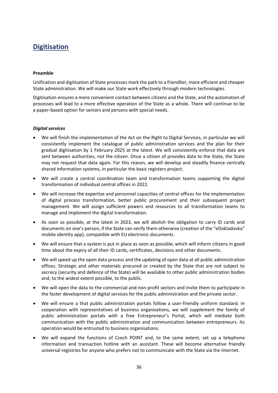### <span id="page-36-0"></span>**Digitisation**

### **Preamble**

Unification and digitisation of State processes mark the path to a friendlier, more efficient and cheaper State administration. We will make our State work effectively through modern technologies.

Digitisation ensures a more convenient contact between citizens and the State, and the automation of processes will lead to a more effective operation of the State as a whole. There will continue to be a paper-based option for seniors and persons with special needs.

### *Digital services*

- We will finish the implementation of the Act on the Right to Digital Services, in particular we will consistently implement the catalogue of public administration services and the plan for their gradual digitisation by 1 February 2025 at the latest. We will consistently enforce that data are sent between authorities, not the citizen. Once a citizen of provides data to the State, the State may not request that data again. For this reason, we will develop and steadily finance centrally shared information systems, in particular the basic registers project.
- We will create a central coordination team and transformation teams supporting the digital transformation of individual central offices in 2022.
- We will increase the expertise and personnel capacities of central offices for the implementation of digital process transformation, better public procurement and their subsequent project management. We will assign sufficient powers and resources to all transformation teams to manage and implement the digital transformation.
- As soon as possible, at the latest in 2023, we will abolish the obligation to carry ID cards and documents on one's person, if the State can verify them otherwise (creation of the "eDokladovka" mobile identity app), compatible with EU electronic documents.
- We will ensure that a system is put in place as soon as possible, which will inform citizens in good time about the expiry of all their ID cards, certificates, decisions and other documents.
- We will speed up the open data process and the updating of open data at all public administration offices. Strategic and other materials procured or created by the State that are not subject to secrecy (security and defence of the State) will be available to other public administration bodies and, to the widest extent possible, to the public.
- We will open the data to the commercial and non-profit sectors and invite them to participate in the faster development of digital services for the public administration and the private sector.
- We will ensure a that public administration portals follow a user-friendly uniform standard. In cooperation with representatives of business organisations, we will supplement the family of public administration portals with a free Entrepreneur's Portal, which will mediate both communication with the public administration and communication between entrepreneurs. Its operation would be entrusted to business organisations.
- We will expand the functions of Czech POINT and, to the same extent, set up a telephone information and transaction hotline with an assistant. These will become alternative friendly universal registries for anyone who prefers not to communicate with the State via the Internet.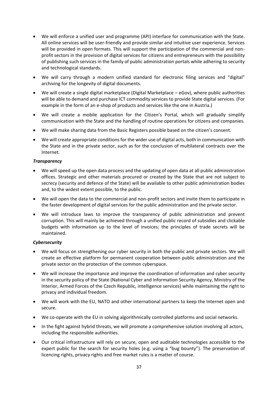- We will enforce a unified user and programme (API) interface for communication with the State. All online services will be user-friendly and provide similar and intuitive user experience. Services will be provided in open formats. This will support the participation of the commercial and nonprofit sectors in the provision of digital services for citizens and entrepreneurs with the possibility of publishing such services in the family of public administration portals while adhering to security and technological standards.
- We will carry through a modern unified standard for electronic filing services and "digital" archiving for the longevity of digital documents.
- We will create a single digital marketplace (Digital Marketplace eGov), where public authorities will be able to demand and purchase ICT commodity services to provide State digital services. (For example in the form of an e-shop of products and services like the one in Austria.)
- We will create a mobile application for the Citizen's Portal, which will gradually simplify communication with the State and the handling of routine operations for citizens and companies.
- We will make sharing data from the Basic Registers possible based on the citizen's consent.
- We will create appropriate conditions for the wider use of digital acts, both in communication with the State and in the private sector, such as for the conclusion of multilateral contracts over the Internet.

### *Transparency*

- We will speed up the open data process and the updating of open data at all public administration offices. Strategic and other materials procured or created by the State that are not subject to secrecy (security and defence of the State) will be available to other public administration bodies and, to the widest extent possible, to the public.
- We will open the data to the commercial and non-profit sectors and invite them to participate in the faster development of digital services for the public administration and the private sector.
- We will introduce laws to improve the transparency of public administration and prevent corruption. This will mainly be achieved through a unified public record of subsidies and clickable budgets with information up to the level of invoices; the principles of trade secrets will be maintained.

### *Cybersecurity*

- We will focus on strengthening our cyber security in both the public and private sectors. We will create an effective platform for permanent cooperation between public administration and the private sector on the protection of the common cyberspace.
- We will increase the importance and improve the coordination of information and cyber security in the security policy of the State (National Cyber and Information Security Agency, Ministry of the Interior, Armed Forces of the Czech Republic, intelligence services) while maintaining the right to privacy and individual freedom.
- We will work with the EU, NATO and other international partners to keep the Internet open and secure.
- We co-operate with the EU in solving algorithmically controlled platforms and social networks.
- In the fight against hybrid threats, we will promote a comprehensive solution involving all actors, including the responsible authorities.
- Our critical infrastructure will rely on secure, open and auditable technologies accessible to the expert public for the search for security holes (e.g. using a "bug bounty"). The preservation of licencing rights, privacy rights and free market rules is a matter of course.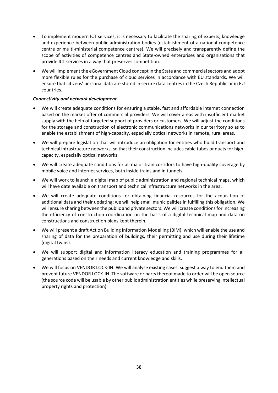- To implement modern ICT services, it is necessary to facilitate the sharing of experts, knowledge and experience between public administration bodies (establishment of a national competence centre or multi-ministerial competence centres). We will precisely and transparently define the scope of activities of competence centres and State-owned enterprises and organisations that provide ICT services in a way that preserves competition.
- We will implement the eGovernment Cloud concept in the State and commercial sectors and adopt more flexible rules for the purchase of cloud services in accordance with EU standards. We will ensure that citizens' personal data are stored in secure data centres in the Czech Republic or in EU countries.

### *Connectivity and network development*

- We will create adequate conditions for ensuring a stable, fast and affordable internet connection based on the market offer of commercial providers. We will cover areas with insufficient market supply with the help of targeted support of providers or customers. We will adjust the conditions for the storage and construction of electronic communications networks in our territory so as to enable the establishment of high-capacity, especially optical networks in remote, rural areas.
- We will prepare legislation that will introduce an obligation for entities who build transport and technical infrastructure networks, so that their construction includes cable tubes or ducts for highcapacity, especially optical networks.
- We will create adequate conditions for all major train corridors to have high-quality coverage by mobile voice and internet services, both inside trains and in tunnels.
- We will work to launch a digital map of public administration and regional technical maps, which will have date available on transport and technical infrastructure networks in the area.
- We will create adequate conditions for obtaining financial resources for the acquisition of additional data and their updating; we will help small municipalities in fulfilling this obligation. We will ensure sharing between the public and private sectors. We will create conditions for increasing the efficiency of construction coordination on the basis of a digital technical map and data on constructions and construction plans kept therein.
- We will present a draft Act on Building Information Modelling (BIM), which will enable the use and sharing of data for the preparation of buildings, their permitting and use during their lifetime (digital twins).
- We will support digital and information literacy education and training programmes for all generations based on their needs and current knowledge and skills.
- We will focus on VENDOR LOCK-IN. We will analyse existing cases, suggest a way to end them and prevent future VENDOR LOCK-IN. The software or parts thereof made to order will be open source (the source code will be usable by other public administration entities while preserving intellectual property rights and protection).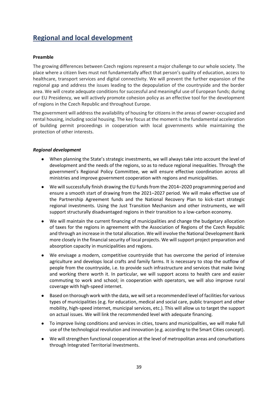### <span id="page-39-0"></span>**Regional and local development**

### **Preamble**

The growing differences between Czech regions represent a major challenge to our whole society. The place where a citizen lives must not fundamentally affect that person's quality of education, access to healthcare, transport services and digital connectivity. We will prevent the further expansion of the regional gap and address the issues leading to the depopulation of the countryside and the border area. We will create adequate conditions for successful and meaningful use of European funds; during our EU Presidency, we will actively promote cohesion policy as an effective tool for the development of regions in the Czech Republic and throughout Europe.

The government will address the availability of housing for citizens in the areas of owner-occupied and rental housing, including social housing. The key focus at the moment is the fundamental acceleration of building permit proceedings in cooperation with local governments while maintaining the protection of other interests.

### *Regional development*

- When planning the State's strategic investments, we will always take into account the level of development and the needs of the regions, so as to reduce regional inequalities. Through the government's Regional Policy Committee, we will ensure effective coordination across all ministries and improve government cooperation with regions and municipalities.
- We will successfully finish drawing the EU funds from the 2014–2020 programming period and ensure a smooth start of drawing from the 2021–2027 period. We will make effective use of the Partnership Agreement funds and the National Recovery Plan to kick-start strategic regional investments. Using the Just Transition Mechanism and other instruments, we will support structurally disadvantaged regions in their transition to a low-carbon economy.
- We will maintain the current financing of municipalities and change the budgetary allocation of taxes for the regions in agreement with the Association of Regions of the Czech Republic and through an increase in the total allocation. We will involve the National Development Bank more closely in the financial security of local projects. We will support project preparation and absorption capacity in municipalities and regions.
- We envisage a modern, competitive countryside that has overcome the period of intensive agriculture and develops local crafts and family farms. It is necessary to stop the outflow of people from the countryside, i.e. to provide such infrastructure and services that make living and working there worth it. In particular, we will support access to health care and easier commuting to work and school; in cooperation with operators, we will also improve rural coverage with high-speed internet.
- Based on thorough work with the data, we will set a recommended level of facilities for various types of municipalities (e.g. for education, medical and social care, public transport and other mobility, high-speed internet, municipal services, etc.). This will allow us to target the support on actual issues. We will link the recommended level with adequate financing.
- To improve living conditions and services in cities, towns and municipalities, we will make full use of the technological revolution and innovation (e.g. according to the Smart Cities concept).
- We will strengthen functional cooperation at the level of metropolitan areas and conurbations through Integrated Territorial Investments.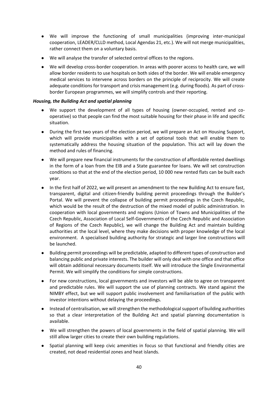- We will improve the functioning of small municipalities (improving inter-municipal cooperation, LEADER/CLLD method, Local Agendas 21, etc.). We will not merge municipalities, rather connect them on a voluntary basis.
- We will analyse the transfer of selected central offices to the regions.
- We will develop cross-border cooperation. In areas with poorer access to health care, we will allow border residents to use hospitals on both sides of the border. We will enable emergency medical services to intervene across borders on the principle of reciprocity. We will create adequate conditions for transport and crisis management (e.g. during floods). As part of crossborder European programmes, we will simplify controls and their reporting.

### *Housing, the Building Act and spatial planning*

- We support the development of all types of housing (owner-occupied, rented and cooperative) so that people can find the most suitable housing for their phase in life and specific situation.
- During the first two years of the election period, we will prepare an Act on Housing Support, which will provide municipalities with a set of optional tools that will enable them to systematically address the housing situation of the population. This act will lay down the method and rules of financing.
- We will prepare new financial instruments for the construction of affordable rented dwellings in the form of a loan from the EIB and a State guarantee for loans. We will set construction conditions so that at the end of the election period, 10 000 new rented flats can be built each year.
- In the first half of 2022, we will present an amendment to the new Building Act to ensure fast, transparent, digital and citizen-friendly building permit proceedings through the Builder's Portal. We will prevent the collapse of building permit proceedings in the Czech Republic, which would be the result of the destruction of the mixed model of public administration. In cooperation with local governments and regions (Union of Towns and Municipalities of the Czech Republic, Association of Local Self-Governments of the Czech Republic and Association of Regions of the Czech Republic), we will change the Building Act and maintain building authorities at the local level, where they make decisions with proper knowledge of the local environment. A specialised building authority for strategic and larger line constructions will be launched.
- Building permit proceedings will be predictable, adapted to different types of construction and balancing public and private interests. The builder will only deal with one office and that office will obtain additional necessary documents itself. We will introduce the Single Environmental Permit. We will simplify the conditions for simple constructions.
- For new constructions, local governments and investors will be able to agree on transparent and predictable rules. We will support the use of planning contracts. We stand against the NIMBY effect, but we will support public involvement and familiarisation of the public with investor intentions without delaying the proceedings.
- Instead of centralisation, we will strengthen the methodological support of building authorities so that a clear interpretation of the Building Act and spatial planning documentation is available.
- We will strengthen the powers of local governments in the field of spatial planning. We will still allow larger cities to create their own building regulations.
- Spatial planning will keep civic amenities in focus so that functional and friendly cities are created, not dead residential zones and heat islands.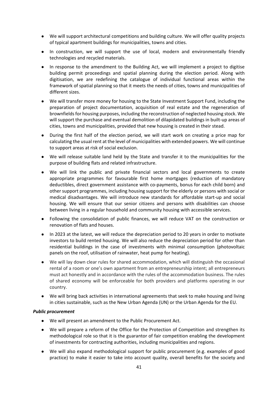- We will support architectural competitions and building culture. We will offer quality projects of typical apartment buildings for municipalities, towns and cities.
- In construction, we will support the use of local, modern and environmentally friendly technologies and recycled materials.
- In response to the amendment to the Building Act, we will implement a project to digitise building permit proceedings and spatial planning during the election period. Along with digitisation, we are redefining the catalogue of individual functional areas within the framework of spatial planning so that it meets the needs of cities, towns and municipalities of different sizes.
- We will transfer more money for housing to the State Investment Support Fund, including the preparation of project documentation, acquisition of real estate and the regeneration of brownfields for housing purposes, including the reconstruction of neglected housing stock. We will support the purchase and eventual demolition of dilapidated buildings in built-up areas of cities, towns and municipalities, provided that new housing is created in their stead.
- During the first half of the election period, we will start work on creating a price map for calculating the usual rent at the level of municipalities with extended powers. We will continue to support areas at risk of social exclusion.
- We will release suitable land held by the State and transfer it to the municipalities for the purpose of building flats and related infrastructure.
- We will link the public and private financial sectors and local governments to create appropriate programmes for favourable first home mortgages (reduction of mandatory deductibles, direct government assistance with co-payments, bonus for each child born) and other support programmes, including housing support for the elderly or persons with social or medical disadvantages. We will introduce new standards for affordable start-up and social housing. We will ensure that our senior citizens and persons with disabilities can choose between living in a regular household and community housing with accessible services.
- Following the consolidation of public finances, we will reduce VAT on the construction or renovation of flats and houses.
- In 2023 at the latest, we will reduce the depreciation period to 20 years in order to motivate investors to build rented housing. We will also reduce the depreciation period for other than residential buildings in the case of investments with minimal consumption (photovoltaic panels on the roof, utilisation of rainwater, heat pump for heating).
- We will lay down clear rules for shared accommodation, which will distinguish the occasional rental of a room or one's own apartment from an entrepreneurship intent; all entrepreneurs must act honestly and in accordance with the rules of the accommodation business. The rules of shared economy will be enforceable for both providers and platforms operating in our country.
- We will bring back activities in international agreements that seek to make housing and living in cities sustainable, such as the New Urban Agenda (UN) or the Urban Agenda for the EU.

### *Public procurement*

- We will present an amendment to the Public Procurement Act.
- We will prepare a reform of the Office for the Protection of Competition and strengthen its methodological role so that it is the guarantor of fair competition enabling the development of investments for contracting authorities, including municipalities and regions.
- We will also expand methodological support for public procurement (e.g. examples of good practice) to make it easier to take into account quality, overall benefits for the society and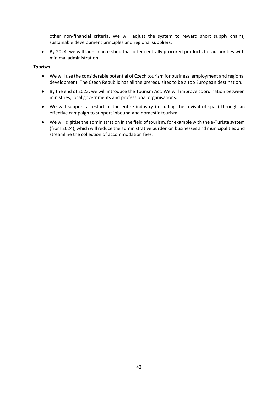other non-financial criteria. We will adjust the system to reward short supply chains, sustainable development principles and regional suppliers.

● By 2024, we will launch an e-shop that offer centrally procured products for authorities with minimal administration.

### *Tourism*

- We will use the considerable potential of Czech tourism for business, employment and regional development. The Czech Republic has all the prerequisites to be a top European destination.
- By the end of 2023, we will introduce the Tourism Act. We will improve coordination between ministries, local governments and professional organisations.
- We will support a restart of the entire industry (including the revival of spas) through an effective campaign to support inbound and domestic tourism.
- We will digitise the administration in the field of tourism, for example with the e-Turista system (from 2024), which will reduce the administrative burden on businesses and municipalities and streamline the collection of accommodation fees.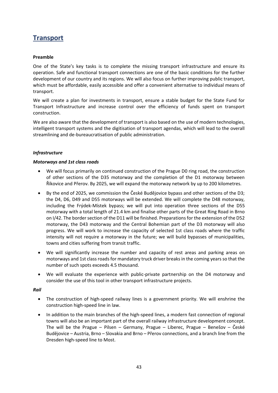### <span id="page-43-0"></span>**Transport**

### **Preamble**

One of the State's key tasks is to complete the missing transport infrastructure and ensure its operation. Safe and functional transport connections are one of the basic conditions for the further development of our country and its regions. We will also focus on further improving public transport, which must be affordable, easily accessible and offer a convenient alternative to individual means of transport.

We will create a plan for investments in transport, ensure a stable budget for the State Fund for Transport Infrastructure and increase control over the efficiency of funds spent on transport construction.

We are also aware that the development of transport is also based on the use of modern technologies, intelligent transport systems and the digitisation of transport agendas, which will lead to the overall streamlining and de-bureaucratisation of public administration.

### *Infrastructure*

### *Motorways and 1st class roads*

- We will focus primarily on continued construction of the Prague D0 ring road, the construction of other sections of the D35 motorway and the completion of the D1 motorway between Říkovice and Přerov. By 2025, we will expand the motorway network by up to 200 kilometres.
- By the end of 2025, we commission the České Budějovice bypass and other sections of the D3; the D4, D6, D49 and D55 motorways will be extended. We will complete the D48 motorway, including the Frýdek-Místek bypass; we will put into operation three sections of the D55 motorway with a total length of 21.4 km and finalise other parts of the Great Ring Road in Brno on I/42. The border section of the D11 will be finished. Preparations for the extension of the D52 motorway, the D43 motorway and the Central Bohemian part of the D3 motorway will also progress. We will work to increase the capacity of selected 1st class roads where the traffic intensity will not require a motorway in the future; we will build bypasses of municipalities, towns and cities suffering from transit traffic.
- We will significantly increase the number and capacity of rest areas and parking areas on motorways and 1st class roads for mandatory truck driver breaks in the coming years so that the number of such spots exceeds 4.5 thousand.
- We will evaluate the experience with public-private partnership on the D4 motorway and consider the use of this tool in other transport infrastructure projects.

### *Rail*

- The construction of high-speed railway lines is a government priority. We will enshrine the construction high-speed line in law.
- In addition to the main branches of the high-speed lines, a modern fast connection of regional towns will also be an important part of the overall railway infrastructure development concept. The will be the Prague – Pilsen – Germany, Prague – Liberec, Prague – Benešov – České Budějovice – Austria, Brno – Slovakia and Brno – Přerov connections, and a branch line from the Dresden high-speed line to Most.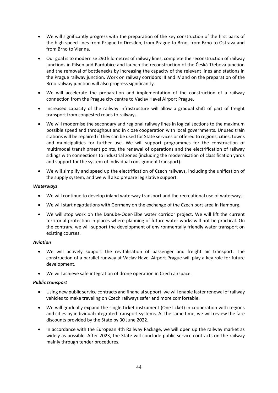- We will significantly progress with the preparation of the key construction of the first parts of the high-speed lines from Prague to Dresden, from Prague to Brno, from Brno to Ostrava and from Brno to Vienna.
- Our goal is to modernise 290 kilometres of railway lines, complete the reconstruction of railway junctions in Pilsen and Pardubice and launch the reconstruction of the Česká Třebová junction and the removal of bottlenecks by increasing the capacity of the relevant lines and stations in the Prague railway junction. Work on railway corridors III and IV and on the preparation of the Brno railway junction will also progress significantly.
- We will accelerate the preparation and implementation of the construction of a railway connection from the Prague city centre to Vaclav Havel Airport Prague.
- Increased capacity of the railway infrastructure will allow a gradual shift of part of freight transport from congested roads to railways.
- We will modernise the secondary and regional railway lines in logical sections to the maximum possible speed and throughput and in close cooperation with local governments. Unused train stations will be repaired if they can be used for State services or offered to regions, cities, towns and municipalities for further use. We will support programmes for the construction of multimodal transhipment points, the renewal of operations and the electrification of railway sidings with connections to industrial zones (including the modernisation of classification yards and support for the system of individual consignment transport).
- We will simplify and speed up the electrification of Czech railways, including the unification of the supply system, and we will also prepare legislative support.

### *Waterways*

- We will continue to develop inland waterway transport and the recreational use of waterways.
- We will start negotiations with Germany on the exchange of the Czech port area in Hamburg.
- We will stop work on the Danube-Oder-Elbe water corridor project. We will lift the current territorial protection in places where planning of future water works will not be practical. On the contrary, we will support the development of environmentally friendly water transport on existing courses.

### *Aviation*

- We will actively support the revitalisation of passenger and freight air transport. The construction of a parallel runway at Vaclav Havel Airport Prague will play a key role for future development.
- We will achieve safe integration of drone operation in Czech airspace.

### *Public transport*

- Using new public service contracts and financial support, we will enable faster renewal of railway vehicles to make traveling on Czech railways safer and more comfortable.
- We will gradually expand the single ticket instrument (OneTicket) in cooperation with regions and cities by individual integrated transport systems. At the same time, we will review the fare discounts provided by the State by 30 June 2022.
- In accordance with the European 4th Railway Package, we will open up the railway market as widely as possible. After 2023, the State will conclude public service contracts on the railway mainly through tender procedures.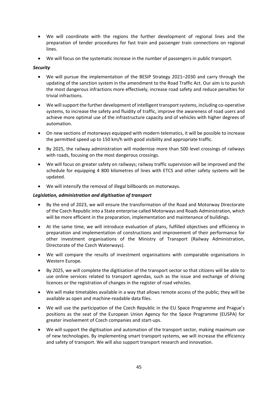- We will coordinate with the regions the further development of regional lines and the preparation of tender procedures for fast train and passenger train connections on regional lines.
- We will focus on the systematic increase in the number of passengers in public transport.

### *Security*

- We will pursue the implementation of the BESIP Strategy 2021–2030 and carry through the updating of the sanction system in the amendment to the Road Traffic Act. Our aim is to punish the most dangerous infractions more effectively, increase road safety and reduce penalties for trivial infractions.
- We will support the further development of intelligent transport systems, including co-operative systems, to increase the safety and fluidity of traffic, improve the awareness of road users and achieve more optimal use of the infrastructure capacity and of vehicles with higher degrees of automation.
- On new sections of motorways equipped with modern telematics, it will be possible to increase the permitted speed up to 150 km/h with good visibility and appropriate traffic.
- By 2025, the railway administration will modernise more than 500 level crossings of railways with roads, focusing on the most dangerous crossings.
- We will focus on greater safety on railways; railway traffic supervision will be improved and the schedule for equipping 4 800 kilometres of lines with ETCS and other safety systems will be updated.
- We will intensify the removal of illegal billboards on motorways.

### *Legislation, administration and digitisation of transport*

- By the end of 2023, we will ensure the transformation of the Road and Motorway Directorate of the Czech Republic into a State enterprise called Motorways and Roads Administration, which will be more efficient in the preparation, implementation and maintenance of buildings.
- At the same time, we will introduce evaluation of plans, fulfilled objectives and efficiency in preparation and implementation of constructions and improvement of their performance for other investment organisations of the Ministry of Transport (Railway Administration, Directorate of the Czech Waterways).
- We will compare the results of investment organisations with comparable organisations in Western Europe.
- By 2025, we will complete the digitisation of the transport sector so that citizens will be able to use online services related to transport agendas, such as the issue and exchange of driving licences or the registration of changes in the register of road vehicles.
- We will make timetables available in a way that allows remote access of the public; they will be available as open and machine-readable data files.
- We will use the participation of the Czech Republic in the EU Space Programme and Prague's positions as the seat of the European Union Agency for the Space Programme (EUSPA) for greater involvement of Czech companies and start-ups.
- We will support the digitisation and automation of the transport sector, making maximum use of new technologies. By implementing smart transport systems, we will increase the efficiency and safety of transport. We will also support transport research and innovation.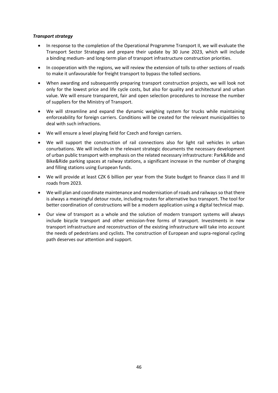### *Transport strategy*

- In response to the completion of the Operational Programme Transport II, we will evaluate the Transport Sector Strategies and prepare their update by 30 June 2023, which will include a binding medium- and long-term plan of transport infrastructure construction priorities.
- In cooperation with the regions, we will review the extension of tolls to other sections of roads to make it unfavourable for freight transport to bypass the tolled sections.
- When awarding and subsequently preparing transport construction projects, we will look not only for the lowest price and life cycle costs, but also for quality and architectural and urban value. We will ensure transparent, fair and open selection procedures to increase the number of suppliers for the Ministry of Transport.
- We will streamline and expand the dynamic weighing system for trucks while maintaining enforceability for foreign carriers. Conditions will be created for the relevant municipalities to deal with such infractions.
- We will ensure a level playing field for Czech and foreign carriers.
- We will support the construction of rail connections also for light rail vehicles in urban conurbations. We will include in the relevant strategic documents the necessary development of urban public transport with emphasis on the related necessary infrastructure: Park&Ride and Bike&Ride parking spaces at railway stations, a significant increase in the number of charging and filling stations using European funds.
- We will provide at least CZK 6 billion per year from the State budget to finance class II and III roads from 2023.
- We will plan and coordinate maintenance and modernisation of roads and railways so that there is always a meaningful detour route, including routes for alternative bus transport. The tool for better coordination of constructions will be a modern application using a digital technical map.
- Our view of transport as a whole and the solution of modern transport systems will always include bicycle transport and other emission-free forms of transport. Investments in new transport infrastructure and reconstruction of the existing infrastructure will take into account the needs of pedestrians and cyclists. The construction of European and supra-regional cycling path deserves our attention and support.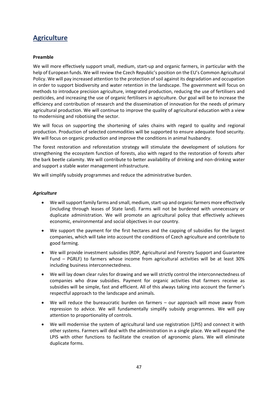### <span id="page-47-0"></span>**Agriculture**

### **Preamble**

We will more effectively support small, medium, start-up and organic farmers, in particular with the help of European funds. We will review the Czech Republic's position on the EU's Common Agricultural Policy. We will pay increased attention to the protection of soil against its degradation and occupation in order to support biodiversity and water retention in the landscape. The government will focus on methods to introduce precision agriculture, integrated production, reducing the use of fertilisers and pesticides, and increasing the use of organic fertilisers in agriculture. Our goal will be to increase the efficiency and contribution of research and the dissemination of innovation for the needs of primary agricultural production. We will continue to improve the quality of agricultural education with a view to modernising and robotising the sector.

We will focus on supporting the shortening of sales chains with regard to quality and regional production. Production of selected commodities will be supported to ensure adequate food security. We will focus on organic production and improve the conditions in animal husbandry.

The forest restoration and reforestation strategy will stimulate the development of solutions for strengthening the ecosystem function of forests, also with regard to the restoration of forests after the bark beetle calamity. We will contribute to better availability of drinking and non-drinking water and support a stable water management infrastructure.

We will simplify subsidy programmes and reduce the administrative burden.

### *Agriculture*

- We will support family farms and small, medium, start-up and organic farmers more effectively (including through leases of State land). Farms will not be burdened with unnecessary or duplicate administration. We will promote an agricultural policy that effectively achieves economic, environmental and social objectives in our country.
- We support the payment for the first hectares and the capping of subsidies for the largest companies, which will take into account the conditions of Czech agriculture and contribute to good farming.
- We will provide investment subsidies (RDP, Agricultural and Forestry Support and Guarantee Fund – PGRLF) to farmers whose income from agricultural activities will be at least 30% including business interconnectedness.
- We will lay down clear rules for drawing and we will strictly control the interconnectedness of companies who draw subsidies. Payment for organic activities that farmers receive as subsidies will be simple, fast and efficient. All of this always taking into account the farmer's respectful approach to the landscape and animals.
- We will reduce the bureaucratic burden on farmers our approach will move away from repression to advice. We will fundamentally simplify subsidy programmes. We will pay attention to proportionality of controls.
- We will modernise the system of agricultural land use registration (LPIS) and connect it with other systems. Farmers will deal with the administration in a single place. We will expand the LPIS with other functions to facilitate the creation of agronomic plans. We will eliminate duplicate forms.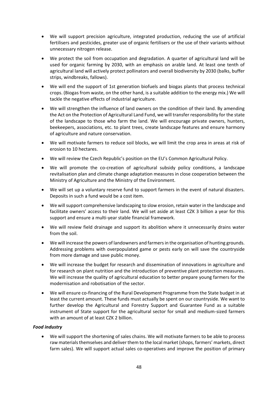- We will support precision agriculture, integrated production, reducing the use of artificial fertilisers and pesticides, greater use of organic fertilisers or the use of their variants without unnecessary nitrogen release.
- We protect the soil from occupation and degradation. A quarter of agricultural land will be used for organic farming by 2030, with an emphasis on arable land. At least one tenth of agricultural land will actively protect pollinators and overall biodiversity by 2030 (balks, buffer strips, windbreaks, fallows).
- We will end the support of 1st generation biofuels and biogas plants that process technical crops. (Biogas from waste, on the other hand, is a suitable addition to the energy mix.) We will tackle the negative effects of industrial agriculture.
- We will strengthen the influence of land owners on the condition of their land. By amending the Act on the Protection of Agricultural Land Fund, we will transfer responsibility for the state of the landscape to those who farm the land. We will encourage private owners, hunters, beekeepers, associations, etc. to plant trees, create landscape features and ensure harmony of agriculture and nature conservation.
- We will motivate farmers to reduce soil blocks, we will limit the crop area in areas at risk of erosion to 10 hectares.
- We will review the Czech Republic's position on the EU's Common Agricultural Policy.
- We will promote the co-creation of agricultural subsidy policy conditions, a landscape revitalisation plan and climate change adaptation measures in close cooperation between the Ministry of Agriculture and the Ministry of the Environment.
- We will set up a voluntary reserve fund to support farmers in the event of natural disasters. Deposits in such a fund would be a cost item.
- We will support comprehensive landscaping to slow erosion, retain water in the landscape and facilitate owners' access to their land. We will set aside at least CZK 3 billion a year for this support and ensure a multi-year stable financial framework.
- We will review field drainage and support its abolition where it unnecessarily drains water from the soil.
- We will increase the powers of landowners and farmers in the organisation of hunting grounds. Addressing problems with overpopulated game or pests early on will save the countryside from more damage and save public money.
- We will increase the budget for research and dissemination of innovations in agriculture and for research on plant nutrition and the introduction of preventive plant protection measures. We will increase the quality of agricultural education to better prepare young farmers for the modernisation and robotisation of the sector.
- We will ensure co-financing of the Rural Development Programme from the State budget in at least the current amount. These funds must actually be spent on our countryside. We want to further develop the Agricultural and Forestry Support and Guarantee Fund as a suitable instrument of State support for the agricultural sector for small and medium-sized farmers with an amount of at least CZK 2 billion.

### *Food industry*

 We will support the shortening of sales chains. We will motivate farmers to be able to process raw materials themselves and deliver them to the local market (shops, farmers' markets, direct farm sales). We will support actual sales co-operatives and improve the position of primary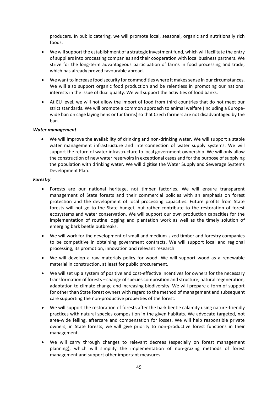producers. In public catering, we will promote local, seasonal, organic and nutritionally rich foods.

- We will support the establishment of a strategic investment fund, which will facilitate the entry of suppliers into processing companies and their cooperation with local business partners. We strive for the long-term advantageous participation of farms in food processing and trade, which has already proved favourable abroad.
- We want to increase food security for commodities where it makes sense in our circumstances. We will also support organic food production and be relentless in promoting our national interests in the issue of dual quality. We will support the activities of food banks.
- At EU level, we will not allow the import of food from third countries that do not meet our strict standards. We will promote a common approach to animal welfare (including a Europewide ban on cage laying hens or fur farms) so that Czech farmers are not disadvantaged by the ban.

#### *Water management*

 We will improve the availability of drinking and non-drinking water. We will support a stable water management infrastructure and interconnection of water supply systems. We will support the return of water infrastructure to local government ownership. We will only allow the construction of new water reservoirs in exceptional cases and for the purpose of supplying the population with drinking water. We will digitise the Water Supply and Sewerage Systems Development Plan.

#### *Forestry*

- Forests are our national heritage, not timber factories. We will ensure transparent management of State forests and their commercial policies with an emphasis on forest protection and the development of local processing capacities. Future profits from State forests will not go to the State budget, but rather contribute to the restoration of forest ecosystems and water conservation. We will support our own production capacities for the implementation of routine logging and plantation work as well as the timely solution of emerging bark beetle outbreaks.
- We will work for the development of small and medium-sized timber and forestry companies to be competitive in obtaining government contracts. We will support local and regional processing, its promotion, innovation and relevant research.
- We will develop a raw materials policy for wood. We will support wood as a renewable material in construction, at least for public procurement.
- We will set up a system of positive and cost-effective incentives for owners for the necessary transformation of forests – change of species composition and structure, natural regeneration, adaptation to climate change and increasing biodiversity. We will prepare a form of support for other than State forest owners with regard to the method of management and subsequent care supporting the non-productive properties of the forest.
- We will support the restoration of forests after the bark beetle calamity using nature-friendly practices with natural species composition in the given habitats. We advocate targeted, not area-wide felling, aftercare and compensation for losses. We will help responsible private owners; in State forests, we will give priority to non-productive forest functions in their management.
- We will carry through changes to relevant decrees (especially on forest management planning), which will simplify the implementation of non-grazing methods of forest management and support other important measures.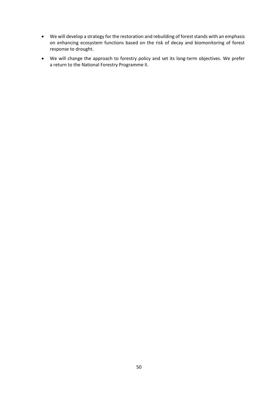- We will develop a strategy for the restoration and rebuilding of forest stands with an emphasis on enhancing ecosystem functions based on the risk of decay and biomonitoring of forest response to drought.
- We will change the approach to forestry policy and set its long-term objectives. We prefer a return to the National Forestry Programme II.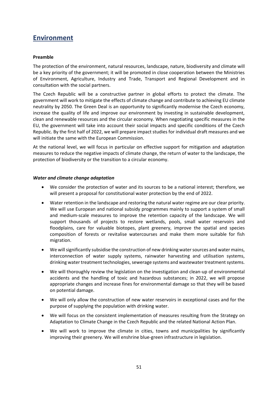### <span id="page-51-0"></span>**Environment**

### **Preamble**

The protection of the environment, natural resources, landscape, nature, biodiversity and climate will be a key priority of the government; it will be promoted in close cooperation between the Ministries of Environment, Agriculture, Industry and Trade, Transport and Regional Development and in consultation with the social partners.

The Czech Republic will be a constructive partner in global efforts to protect the climate. The government will work to mitigate the effects of climate change and contribute to achieving EU climate neutrality by 2050. The Green Deal is an opportunity to significantly modernise the Czech economy, increase the quality of life and improve our environment by investing in sustainable development, clean and renewable resources and the circular economy. When negotiating specific measures in the EU, the government will take into account their social impacts and specific conditions of the Czech Republic. By the first half of 2022, we will prepare impact studies for individual draft measures and we will initiate the same with the European Commission.

At the national level, we will focus in particular on effective support for mitigation and adaptation measures to reduce the negative impacts of climate change, the return of water to the landscape, the protection of biodiversity or the transition to a circular economy.

### *Water and climate change adaptation*

- We consider the protection of water and its sources to be a national interest; therefore, we will present a proposal for constitutional water protection by the end of 2022.
- Water retention in the landscape and restoring the natural water regime are our clear priority. We will use European and national subsidy programmes mainly to support a system of small and medium-scale measures to improve the retention capacity of the landscape. We will support thousands of projects to restore wetlands, pools, small water reservoirs and floodplains, care for valuable biotopes, plant greenery, improve the spatial and species composition of forests or revitalise watercourses and make them more suitable for fish migration.
- We will significantly subsidise the construction of new drinking water sources and water mains, interconnection of water supply systems, rainwater harvesting and utilisation systems, drinking water treatment technologies, sewerage systems and wastewater treatment systems.
- We will thoroughly review the legislation on the investigation and clean-up of environmental accidents and the handling of toxic and hazardous substances; in 2022, we will propose appropriate changes and increase fines for environmental damage so that they will be based on potential damage.
- We will only allow the construction of new water reservoirs in exceptional cases and for the purpose of supplying the population with drinking water.
- We will focus on the consistent implementation of measures resulting from the Strategy on Adaptation to Climate Change in the Czech Republic and the related National Action Plan.
- We will work to improve the climate in cities, towns and municipalities by significantly improving their greenery. We will enshrine blue-green infrastructure in legislation.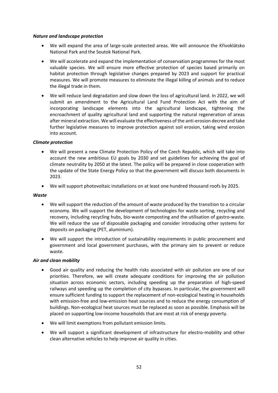### *Nature and landscape protection*

- We will expand the area of large-scale protected areas. We will announce the Křivoklátsko National Park and the Soutok National Park.
- We will accelerate and expand the implementation of conservation programmes for the most valuable species. We will ensure more effective protection of species based primarily on habitat protection through legislative changes prepared by 2023 and support for practical measures. We will promote measures to eliminate the illegal killing of animals and to reduce the illegal trade in them.
- We will reduce land degradation and slow down the loss of agricultural land. In 2022, we will submit an amendment to the Agricultural Land Fund Protection Act with the aim of incorporating landscape elements into the agricultural landscape, tightening the encroachment of quality agricultural land and supporting the natural regeneration of areas after mineral extraction. We will evaluate the effectiveness of the anti-erosion decree and take further legislative measures to improve protection against soil erosion, taking wind erosion into account.

### *Climate protection*

- We will present a new Climate Protection Policy of the Czech Republic, which will take into account the new ambitious EU goals by 2030 and set guidelines for achieving the goal of climate neutrality by 2050 at the latest. The policy will be prepared in close cooperation with the update of the State Energy Policy so that the government will discuss both documents in 2023.
- We will support photovoltaic installations on at least one hundred thousand roofs by 2025.

#### *Waste*

- We will support the reduction of the amount of waste produced by the transition to a circular economy. We will support the development of technologies for waste sorting, recycling and recovery, including recycling hubs, bio-waste composting and the utilisation of gastro-waste. We will reduce the use of disposable packaging and consider introducing other systems for deposits on packaging (PET, aluminium).
- We will support the introduction of sustainability requirements in public procurement and government and local government purchases, with the primary aim to prevent or reduce waste.

### *Air and clean mobility*

- Good air quality and reducing the health risks associated with air pollution are one of our priorities. Therefore, we will create adequate conditions for improving the air pollution situation across economic sectors, including speeding up the preparation of high-speed railways and speeding up the completion of city bypasses. In particular, the government will ensure sufficient funding to support the replacement of non-ecological heating in households with emission-free and low-emission heat sources and to reduce the energy consumption of buildings. Non-ecological heat sources must be replaced as soon as possible. Emphasis will be placed on supporting low-income households that are most at risk of energy poverty.
- We will limit exemptions from pollutant emission limits.
- We will support a significant development of infrastructure for electro-mobility and other clean alternative vehicles to help improve air quality in cities.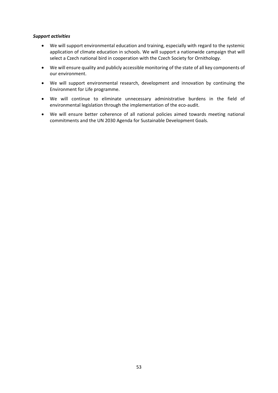### *Support activities*

- We will support environmental education and training, especially with regard to the systemic application of climate education in schools. We will support a nationwide campaign that will select a Czech national bird in cooperation with the Czech Society for Ornithology.
- We will ensure quality and publicly accessible monitoring of the state of all key components of our environment.
- We will support environmental research, development and innovation by continuing the Environment for Life programme.
- We will continue to eliminate unnecessary administrative burdens in the field of environmental legislation through the implementation of the eco-audit.
- We will ensure better coherence of all national policies aimed towards meeting national commitments and the UN 2030 Agenda for Sustainable Development Goals.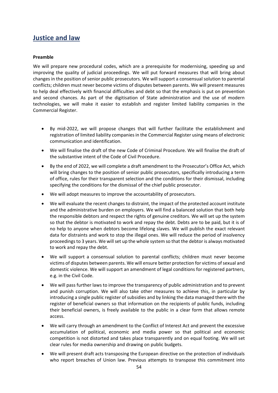### <span id="page-54-0"></span>**Justice and law**

### **Preamble**

We will prepare new procedural codes, which are a prerequisite for modernising, speeding up and improving the quality of judicial proceedings. We will put forward measures that will bring about changes in the position of senior public prosecutors. We will support a consensual solution to parental conflicts; children must never become victims of disputes between parents. We will present measures to help deal effectively with financial difficulties and debt so that the emphasis is put on prevention and second chances. As part of the digitisation of State administration and the use of modern technologies, we will make it easier to establish and register limited liability companies in the Commercial Register.

- By mid-2022, we will propose changes that will further facilitate the establishment and registration of limited liability companies in the Commercial Register using means of electronic communication and identification.
- We will finalise the draft of the new Code of Criminal Procedure. We will finalise the draft of the substantive intent of the Code of Civil Procedure.
- By the end of 2022, we will complete a draft amendment to the Prosecutor's Office Act, which will bring changes to the position of senior public prosecutors, specifically introducing a term of office, rules for their transparent selection and the conditions for their dismissal, including specifying the conditions for the dismissal of the chief public prosecutor.
- We will adopt measures to improve the accountability of prosecutors.
- We will evaluate the recent changes to distraint, the impact of the protected account institute and the administrative burden on employers. We will find a balanced solution that both help the responsible debtors and respect the rights of genuine creditors. We will set up the system so that the debtor is motivated to work and repay the debt. Debts are to be paid, but it is of no help to anyone when debtors become lifelong slaves. We will publish the exact relevant data for distraints and work to stop the illegal ones. We will reduce the period of insolvency proceedings to 3 years. We will set up the whole system so that the debtor is always motivated to work and repay the debt.
- We will support a consensual solution to parental conflicts; children must never become victims of disputes between parents. We will ensure better protection for victims of sexual and domestic violence. We will support an amendment of legal conditions for registered partners, e.g. in the Civil Code.
- We will pass further laws to improve the transparency of public administration and to prevent and punish corruption. We will also take other measures to achieve this, in particular by introducing a single public register of subsidies and by linking the data managed there with the register of beneficial owners so that information on the recipients of public funds, including their beneficial owners, is freely available to the public in a clear form that allows remote access.
- We will carry through an amendment to the Conflict of Interest Act and prevent the excessive accumulation of political, economic and media power so that political and economic competition is not distorted and takes place transparently and on equal footing. We will set clear rules for media ownership and drawing on public budgets.
- We will present draft acts transposing the European directive on the protection of individuals who report breaches of Union law. Previous attempts to transpose this commitment into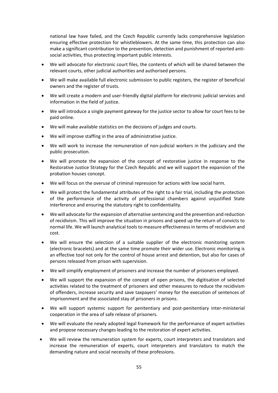national law have failed, and the Czech Republic currently lacks comprehensive legislation ensuring effective protection for whistleblowers. At the same time, this protection can also make a significant contribution to the prevention, detection and punishment of reported antisocial activities, thus protecting important public interests.

- We will advocate for electronic court files, the contents of which will be shared between the relevant courts, other judicial authorities and authorised persons.
- We will make available full electronic submission to public registers, the register of beneficial owners and the register of trusts.
- We will create a modern and user-friendly digital platform for electronic judicial services and information in the field of justice.
- We will introduce a single payment gateway for the justice sector to allow for court fees to be paid online.
- We will make available statistics on the decisions of judges and courts.
- We will improve staffing in the area of administrative justice.
- We will work to increase the remuneration of non-judicial workers in the judiciary and the public prosecution.
- We will promote the expansion of the concept of restorative justice in response to the Restorative Justice Strategy for the Czech Republic and we will support the expansion of the probation houses concept.
- We will focus on the overuse of criminal repression for actions with low social harm.
- We will protect the fundamental attributes of the right to a fair trial, including the protection of the performance of the activity of professional chambers against unjustified State interference and ensuring the statutory right to confidentiality.
- We will advocate for the expansion of alternative sentencing and the prevention and reduction of recidivism. This will improve the situation in prisons and speed up the return of convicts to normal life. We will launch analytical tools to measure effectiveness in terms of recidivism and cost.
- We will ensure the selection of a suitable supplier of the electronic monitoring system (electronic bracelets) and at the same time promote their wider use. Electronic monitoring is an effective tool not only for the control of house arrest and detention, but also for cases of persons released from prison with supervision.
- We will simplify employment of prisoners and increase the number of prisoners employed.
- We will support the expansion of the concept of open prisons, the digitisation of selected activities related to the treatment of prisoners and other measures to reduce the recidivism of offenders, increase security and save taxpayers' money for the execution of sentences of imprisonment and the associated stay of prisoners in prisons.
- We will support systemic support for penitentiary and post-penitentiary inter-ministerial cooperation in the area of safe release of prisoners.
- We will evaluate the newly adopted legal framework for the performance of expert activities and propose necessary changes leading to the restoration of expert activities.
- We will review the remuneration system for experts, court interpreters and translators and increase the remuneration of experts, court interpreters and translators to match the demanding nature and social necessity of these professions.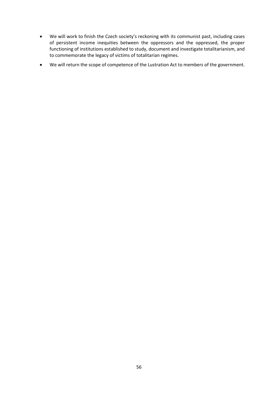- We will work to finish the Czech society's reckoning with its communist past, including cases of persistent income inequities between the oppressors and the oppressed, the proper functioning of institutions established to study, document and investigate totalitarianism, and to commemorate the legacy of victims of totalitarian regimes.
- We will return the scope of competence of the Lustration Act to members of the government.